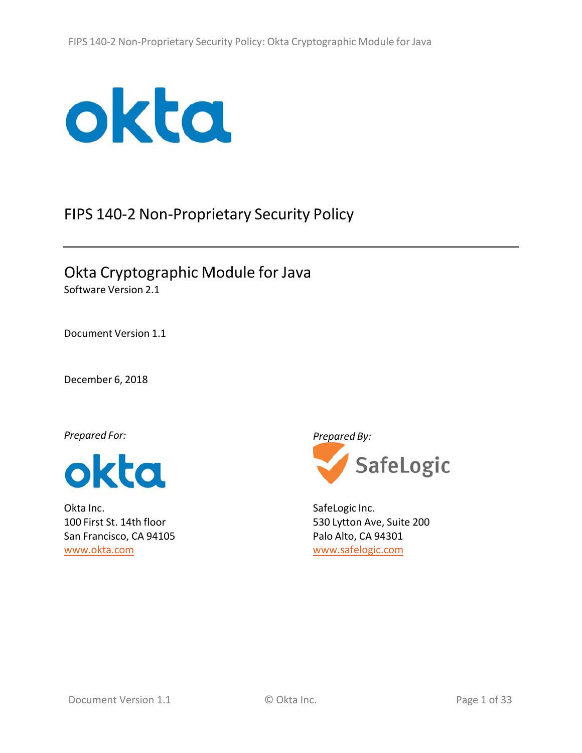

# FIPS 140‐2 Non‐Proprietary Security Policy

Okta Cryptographic Module for Java Software Version 2.1

Document Version 1.1

December 6, 2018

*Prepared For:*



Okta Inc. 100 First St. 14th floor San Francisco, CA 94105 www.okta.com

*Prepared By:*



SafeLogic Inc. 530 Lytton Ave, Suite 200 Palo Alto, CA 94301 www.safelogic.com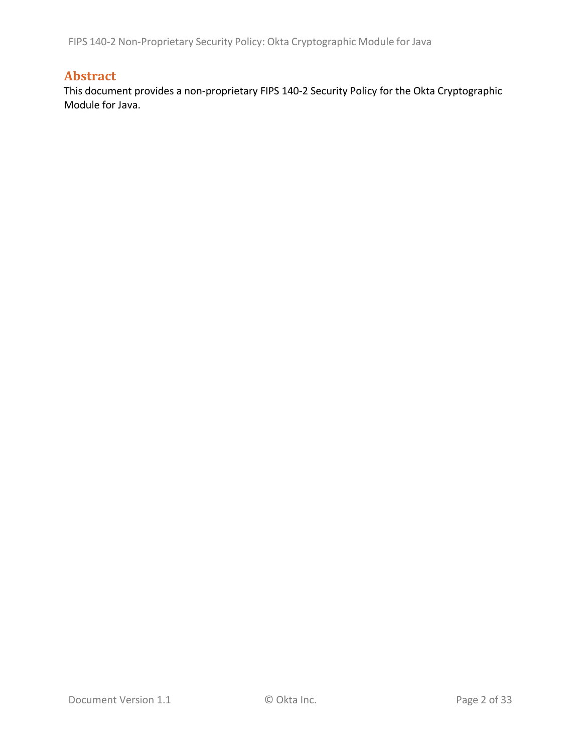FIPS 140‐2 Non‐Proprietary Security Policy: Okta Cryptographic Module for Java

# **Abstract**

This document provides a non‐proprietary FIPS 140‐2 Security Policy for the Okta Cryptographic Module for Java.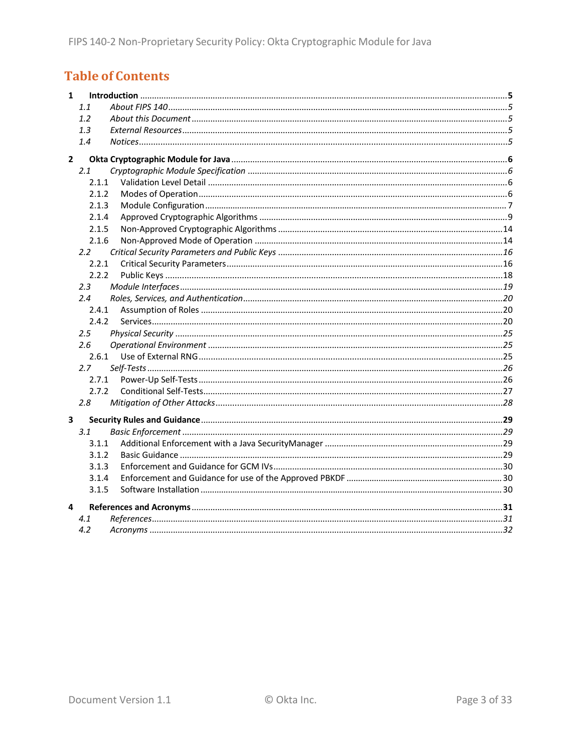# **Table of Contents**

| 1            |               |  |  |  |  |  |  |  |
|--------------|---------------|--|--|--|--|--|--|--|
|              | 1.1           |  |  |  |  |  |  |  |
|              | 1.2           |  |  |  |  |  |  |  |
|              | 1.3           |  |  |  |  |  |  |  |
|              | 1.4           |  |  |  |  |  |  |  |
| $\mathbf{2}$ |               |  |  |  |  |  |  |  |
|              | 2.1           |  |  |  |  |  |  |  |
|              | 2.1.1         |  |  |  |  |  |  |  |
|              | 2.1.2         |  |  |  |  |  |  |  |
|              | 2.1.3         |  |  |  |  |  |  |  |
|              | 2.1.4         |  |  |  |  |  |  |  |
|              | 2.1.5         |  |  |  |  |  |  |  |
|              | 2.1.6         |  |  |  |  |  |  |  |
|              | $2.2^{\circ}$ |  |  |  |  |  |  |  |
|              | 2.2.1         |  |  |  |  |  |  |  |
|              | 2.2.2         |  |  |  |  |  |  |  |
|              | $2.3\,$       |  |  |  |  |  |  |  |
|              | 2.4           |  |  |  |  |  |  |  |
|              | 2.4.1         |  |  |  |  |  |  |  |
|              | 2.4.2         |  |  |  |  |  |  |  |
|              | 2.5           |  |  |  |  |  |  |  |
|              | 2.6           |  |  |  |  |  |  |  |
|              | 2.6.1         |  |  |  |  |  |  |  |
|              | 2.7           |  |  |  |  |  |  |  |
|              | 2.7.1         |  |  |  |  |  |  |  |
|              | 2.7.2         |  |  |  |  |  |  |  |
|              | 2.8           |  |  |  |  |  |  |  |
| 3            |               |  |  |  |  |  |  |  |
|              | 3.1           |  |  |  |  |  |  |  |
|              | 3.1.1         |  |  |  |  |  |  |  |
|              | 3.1.2         |  |  |  |  |  |  |  |
|              | 3.1.3         |  |  |  |  |  |  |  |
|              | 3.1.4         |  |  |  |  |  |  |  |
|              | 3.1.5         |  |  |  |  |  |  |  |
| 4            |               |  |  |  |  |  |  |  |
|              | 4.1           |  |  |  |  |  |  |  |
|              | 4.2           |  |  |  |  |  |  |  |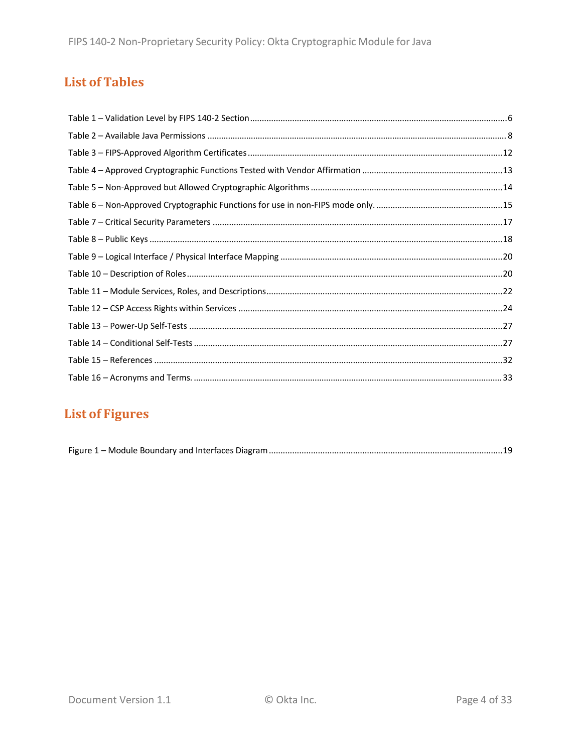# **List of Tables**

# **List of Figures**

|--|--|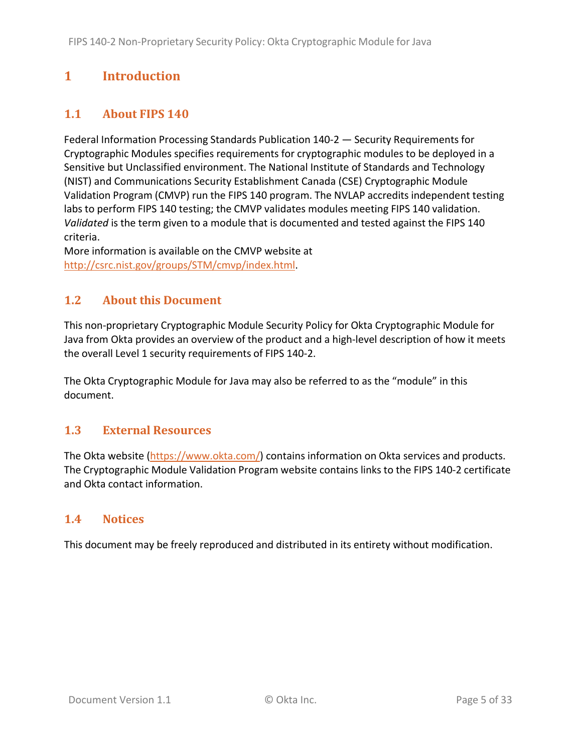# **1 Introduction**

# **1.1 About FIPS 140**

Federal Information Processing Standards Publication 140‐2 — Security Requirements for Cryptographic Modules specifies requirements for cryptographic modules to be deployed in a Sensitive but Unclassified environment. The National Institute of Standards and Technology (NIST) and Communications Security Establishment Canada (CSE) Cryptographic Module Validation Program (CMVP) run the FIPS 140 program. The NVLAP accredits independent testing labs to perform FIPS 140 testing; the CMVP validates modules meeting FIPS 140 validation. *Validated* is the term given to a module that is documented and tested against the FIPS 140 criteria.

More information is available on the CMVP website at http://csrc.nist.gov/groups/STM/cmvp/index.html.

## **1.2 About this Document**

This non‐proprietary Cryptographic Module Security Policy for Okta Cryptographic Module for Java from Okta provides an overview of the product and a high‐level description of how it meets the overall Level 1 security requirements of FIPS 140‐2.

The Okta Cryptographic Module for Java may also be referred to as the "module" in this document.

## **1.3 External Resources**

The Okta website (https://www.okta.com/) contains information on Okta services and products. The Cryptographic Module Validation Program website contains links to the FIPS 140‐2 certificate and Okta contact information.

### **1.4 Notices**

This document may be freely reproduced and distributed in its entirety without modification.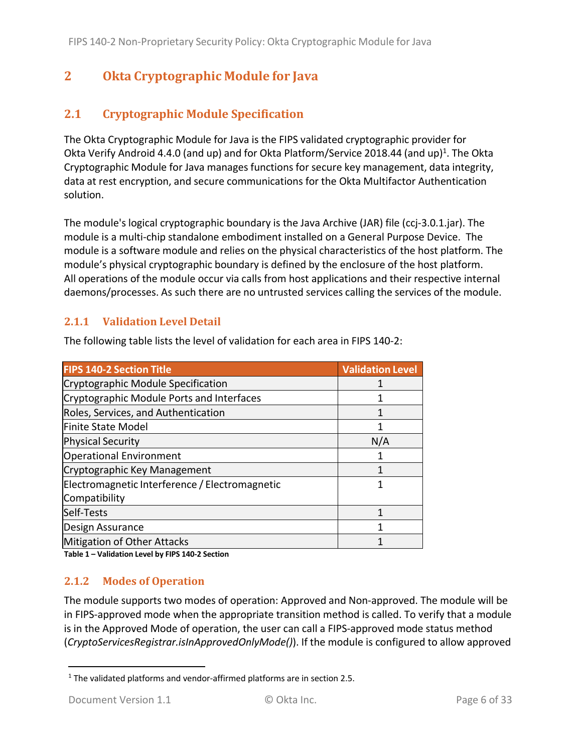# **2 Okta Cryptographic Module for Java**

# **2.1 Cryptographic Module Specification**

The Okta Cryptographic Module for Java is the FIPS validated cryptographic provider for Okta Verify Android 4.4.0 (and up) and for Okta Platform/Service 2018.44 (and up)<sup>1</sup>. The Okta Cryptographic Module for Java manages functions for secure key management, data integrity, data at rest encryption, and secure communications for the Okta Multifactor Authentication solution.

The module's logical cryptographic boundary is the Java Archive (JAR) file (ccj‐3.0.1.jar). The module is a multi‐chip standalone embodiment installed on a General Purpose Device. The module is a software module and relies on the physical characteristics of the host platform. The module's physical cryptographic boundary is defined by the enclosure of the host platform. All operations of the module occur via calls from host applications and their respective internal daemons/processes. As such there are no untrusted services calling the services of the module.

### **2.1.1 Validation Level Detail**

| <b>FIPS 140-2 Section Title</b>                | <b>Validation Level</b> |
|------------------------------------------------|-------------------------|
| Cryptographic Module Specification             |                         |
| Cryptographic Module Ports and Interfaces      |                         |
| Roles, Services, and Authentication            |                         |
| Finite State Model                             |                         |
| Physical Security                              | N/A                     |
| <b>Operational Environment</b>                 |                         |
| Cryptographic Key Management                   |                         |
| Electromagnetic Interference / Electromagnetic |                         |
| Compatibility                                  |                         |
| Self-Tests                                     |                         |
| Design Assurance                               |                         |
| Mitigation of Other Attacks                    |                         |

The following table lists the level of validation for each area in FIPS 140‐2:

**Table 1 – Validation Level by FIPS 140‐2 Section**

### **2.1.2 Modes of Operation**

The module supports two modes of operation: Approved and Non‐approved. The module will be in FIPS‐approved mode when the appropriate transition method is called. To verify that a module is in the Approved Mode of operation, the user can call a FIPS‐approved mode status method (*CryptoServicesRegistrar.isInApprovedOnlyMode()*). If the module is configured to allow approved

<sup>&</sup>lt;sup>1</sup> The validated platforms and vendor-affirmed platforms are in section 2.5.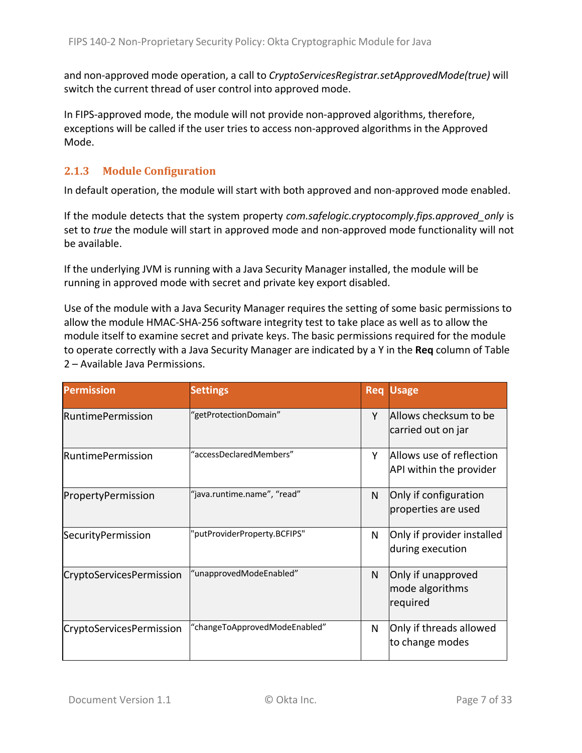and non‐approved mode operation, a call to *CryptoServicesRegistrar.setApprovedMode(true)* will switch the current thread of user control into approved mode.

In FIPS‐approved mode, the module will not provide non‐approved algorithms, therefore, exceptions will be called if the user tries to access non‐approved algorithms in the Approved Mode.

#### **2.1.3 Module Configuration**

In default operation, the module will start with both approved and non‐approved mode enabled.

If the module detects that the system property *com.safelogic.cryptocomply.fips.approved\_only* is set to *true* the module will start in approved mode and non-approved mode functionality will not be available.

If the underlying JVM is running with a Java Security Manager installed, the module will be running in approved mode with secret and private key export disabled.

Use of the module with a Java Security Manager requires the setting of some basic permissions to allow the module HMAC‐SHA‐256 software integrity test to take place as well as to allow the module itself to examine secret and private keys. The basic permissions required for the module to operate correctly with a Java Security Manager are indicated by a Y in the **Req** column of Table 2 – Available Java Permissions.

| <b>Permission</b>               | <b>Settings</b>               | <b>Req</b> | <b>Usage</b>                                        |
|---------------------------------|-------------------------------|------------|-----------------------------------------------------|
| RuntimePermission               | "getProtectionDomain"         | Υ          | Allows checksum to be<br>carried out on jar         |
| <b>RuntimePermission</b>        | "accessDeclaredMembers"       | Υ          | Allows use of reflection<br>API within the provider |
| PropertyPermission              | "java.runtime.name", "read"   | N          | Only if configuration<br>properties are used        |
| SecurityPermission              | 'putProviderProperty.BCFIPS"  | N          | Only if provider installed<br>during execution      |
| CryptoServicesPermission        | "unapprovedModeEnabled"       | N          | Only if unapproved<br>mode algorithms<br>required   |
| <b>CryptoServicesPermission</b> | "changeToApprovedModeEnabled" | N          | Only if threads allowed<br>to change modes          |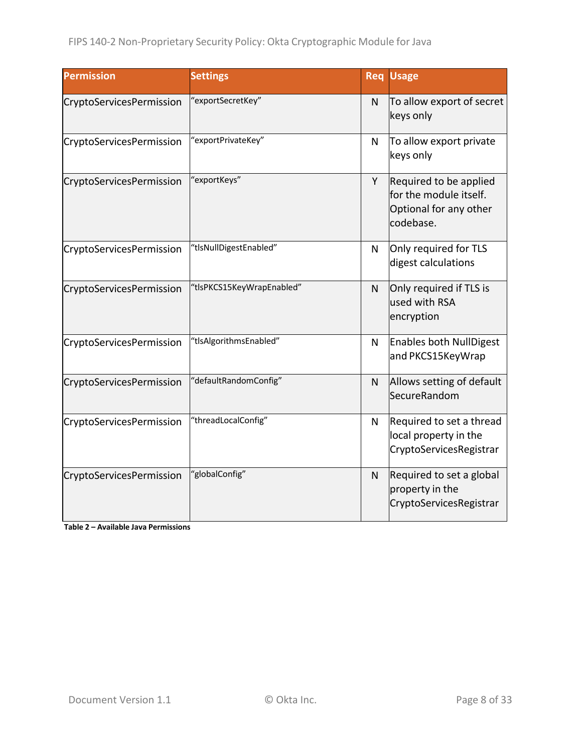| <b>Permission</b>               | <b>Settings</b>           |   | <b>Req Usage</b>                                                                        |
|---------------------------------|---------------------------|---|-----------------------------------------------------------------------------------------|
| CryptoServicesPermission        | "exportSecretKey"         | N | To allow export of secret<br>keys only                                                  |
| CryptoServicesPermission        | "exportPrivateKey"        | N | To allow export private<br>keys only                                                    |
| CryptoServicesPermission        | "exportKeys"              | Y | Required to be applied<br>for the module itself.<br>Optional for any other<br>codebase. |
| CryptoServicesPermission        | "tlsNullDigestEnabled"    | N | Only required for TLS<br>digest calculations                                            |
| <b>CryptoServicesPermission</b> | "tlsPKCS15KeyWrapEnabled" | N | Only required if TLS is<br>used with RSA<br>encryption                                  |
| CryptoServicesPermission        | "tlsAlgorithmsEnabled"    | N | Enables both NullDigest<br>and PKCS15KeyWrap                                            |
| CryptoServicesPermission        | "defaultRandomConfig"     | N | Allows setting of default<br>SecureRandom                                               |
| CryptoServicesPermission        | "threadLocalConfig"       | N | Required to set a thread<br>local property in the<br>CryptoServicesRegistrar            |
| CryptoServicesPermission        | "globalConfig"            | N | Required to set a global<br>property in the<br>CryptoServicesRegistrar                  |

**Table 2 – Available Java Permissions**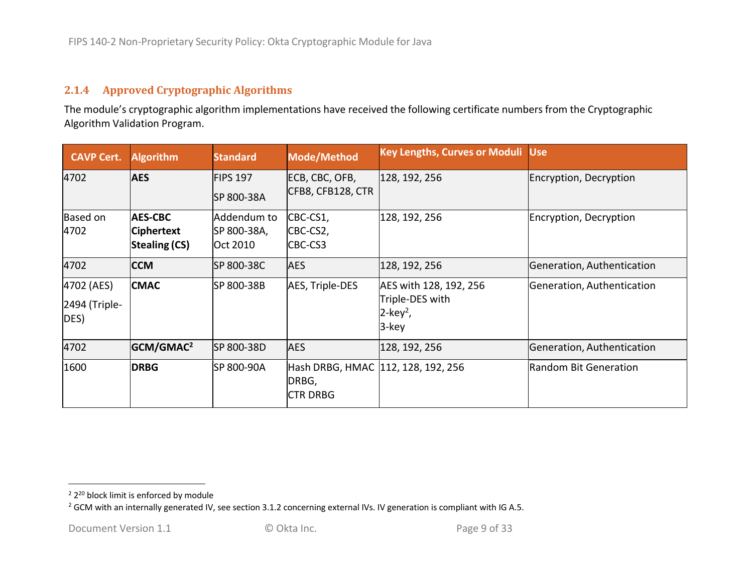#### **2.1.4 Approved Cryptographic Algorithms**

The module's cryptographic algorithm implementations have received the following certificate numbers from the Cryptographic Algorithm Validation Program.

| <b>CAVP Cert.</b>                     | <b>Algorithm</b>                                            | <b>Standard</b>                        | Mode/Method                                                    | <b>Key Lengths, Curves or Moduli Use</b>                                      |                            |
|---------------------------------------|-------------------------------------------------------------|----------------------------------------|----------------------------------------------------------------|-------------------------------------------------------------------------------|----------------------------|
| 4702                                  | <b>AES</b>                                                  | <b>FIPS 197</b><br>SP 800-38A          | ECB, CBC, OFB,<br>CFB8, CFB128, CTR                            | 128, 192, 256                                                                 | Encryption, Decryption     |
| Based on<br>4702                      | <b>AES-CBC</b><br><b>Ciphertext</b><br><b>Stealing (CS)</b> | Addendum to<br>SP 800-38A,<br>Oct 2010 | CBC-CS1,<br>CBC-CS2,<br>CBC-CS3                                | 128, 192, 256                                                                 | Encryption, Decryption     |
| 4702                                  | <b>CCM</b>                                                  | SP 800-38C                             | <b>AES</b>                                                     | 128, 192, 256                                                                 | Generation, Authentication |
| 4702 (AES)<br>$2494$ (Triple-<br>DES) | <b>CMAC</b>                                                 | SP 800-38B                             | AES, Triple-DES                                                | AES with 128, 192, 256<br>Triple-DES with<br>$2$ -key <sup>2</sup> ,<br>3-key | Generation, Authentication |
| 4702                                  | GCM/GMAC <sup>2</sup>                                       | SP 800-38D                             | <b>AES</b>                                                     | 128, 192, 256                                                                 | Generation, Authentication |
| 1600                                  | <b>DRBG</b>                                                 | SP 800-90A                             | Hash DRBG, HMAC 112, 128, 192, 256<br>DRBG,<br><b>CTR DRBG</b> |                                                                               | Random Bit Generation      |

<sup>&</sup>lt;sup>2</sup> 2<sup>20</sup> block limit is enforced by module

<sup>&</sup>lt;sup>2</sup> GCM with an internally generated IV, see section 3.1.2 concerning external IVs. IV generation is compliant with IG A.5.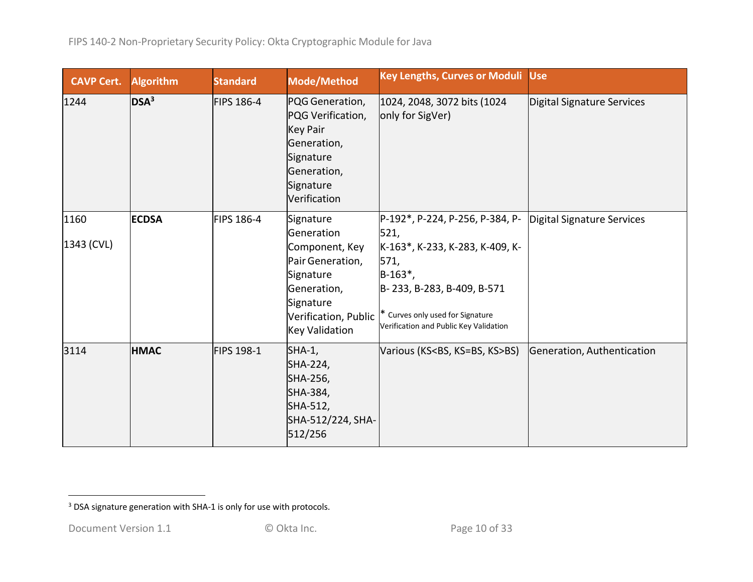| <b>CAVP Cert.</b>  | <b>Algorithm</b> | <b>Standard</b> | Mode/Method                                                                                                                     | <b>Key Lengths, Curves or Moduli</b>                                                                                                                                                                                                           | <b>Use</b>                 |
|--------------------|------------------|-----------------|---------------------------------------------------------------------------------------------------------------------------------|------------------------------------------------------------------------------------------------------------------------------------------------------------------------------------------------------------------------------------------------|----------------------------|
| 1244               | DSA <sup>3</sup> | FIPS 186-4      | PQG Generation,<br>PQG Verification,<br><b>Key Pair</b><br>Generation,<br>Signature<br>Generation,<br>Signature<br>Verification | 1024, 2048, 3072 bits (1024<br>only for SigVer)                                                                                                                                                                                                | Digital Signature Services |
| 1160<br>1343 (CVL) | <b>ECDSA</b>     | FIPS 186-4      | Signature<br>Generation<br>Component, Key<br>Pair Generation,<br>Signature<br>Generation,<br>Signature<br>Key Validation        | P-192*, P-224, P-256, P-384, P-<br>521,<br>K-163*, K-233, K-283, K-409, K-<br>571,<br>$B-163$ <sup>*</sup> ,<br>B-233, B-283, B-409, B-571<br>Verification, Public  * Curves only used for Signature<br>Verification and Public Key Validation | Digital Signature Services |
| 3114               | <b>HMAC</b>      | FIPS 198-1      | $SHA-1$ ,<br>SHA-224,<br>SHA-256,<br>SHA-384,<br>SHA-512,<br>SHA-512/224, SHA-<br>512/256                                       | Various (KS <bs, ks="">BS)</bs,>                                                                                                                                                                                                               | Generation, Authentication |

 $3$  DSA signature generation with SHA-1 is only for use with protocols.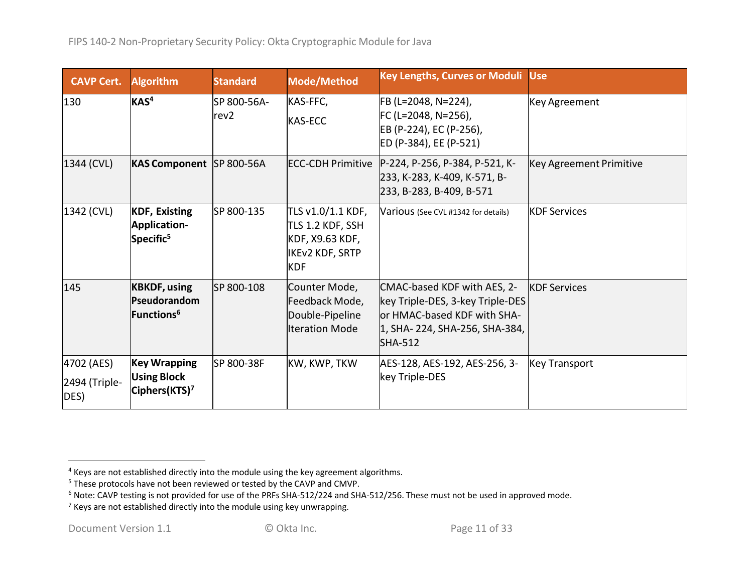| <b>CAVP Cert.</b>                   | <b>Algorithm</b>                                                       | <b>Standard</b>                 | Mode/Method                                                                                      | Key Lengths, Curves or Moduli Use                                                                                                                 |                         |
|-------------------------------------|------------------------------------------------------------------------|---------------------------------|--------------------------------------------------------------------------------------------------|---------------------------------------------------------------------------------------------------------------------------------------------------|-------------------------|
| 130                                 | KAS <sup>4</sup>                                                       | SP 800-56A-<br>rev <sub>2</sub> | KAS-FFC,<br>KAS-ECC                                                                              | FB (L=2048, N=224),<br>FC (L=2048, N=256),<br>EB (P-224), EC (P-256),<br>ED (P-384), EE (P-521)                                                   | Key Agreement           |
| 1344 (CVL)                          | KAS Component  SP 800-56A                                              |                                 |                                                                                                  | ECC-CDH Primitive   P-224, P-256, P-384, P-521, K-<br>233, K-283, K-409, K-571, B-<br>233, B-283, B-409, B-571                                    | Key Agreement Primitive |
| 1342 (CVL)                          | <b>KDF, Existing</b><br>Application-<br>Specific <sup>5</sup>          | SP 800-135                      | TLS v1.0/1.1 KDF,<br>TLS 1.2 KDF, SSH<br>KDF, X9.63 KDF,<br><b>IKEV2 KDF, SRTP</b><br><b>KDF</b> | Various (See CVL #1342 for details)                                                                                                               | <b>KDF Services</b>     |
| 145                                 | <b>KBKDF, using</b><br>Pseudorandom<br>Functions <sup>6</sup>          | SP 800-108                      | Counter Mode,<br>Feedback Mode,<br>Double-Pipeline<br><b>Iteration Mode</b>                      | CMAC-based KDF with AES, 2-<br>key Triple-DES, 3-key Triple-DES<br>or HMAC-based KDF with SHA-<br>1, SHA-224, SHA-256, SHA-384,<br><b>SHA-512</b> | <b>KDF</b> Services     |
| 4702 (AES)<br>2494 (Triple-<br>DES) | <b>Key Wrapping</b><br><b>Using Block</b><br>Ciphers(KTS) <sup>7</sup> | SP 800-38F                      | KW, KWP, TKW                                                                                     | AES-128, AES-192, AES-256, 3-<br>key Triple-DES                                                                                                   | <b>Key Transport</b>    |

 $<sup>4</sup>$  Keys are not established directly into the module using the key agreement algorithms.</sup>

<sup>&</sup>lt;sup>5</sup> These protocols have not been reviewed or tested by the CAVP and CMVP.

 $^6$  Note: CAVP testing is not provided for use of the PRFs SHA-512/224 and SHA-512/256. These must not be used in approved mode.

 $^7$  Keys are not established directly into the module using key unwrapping.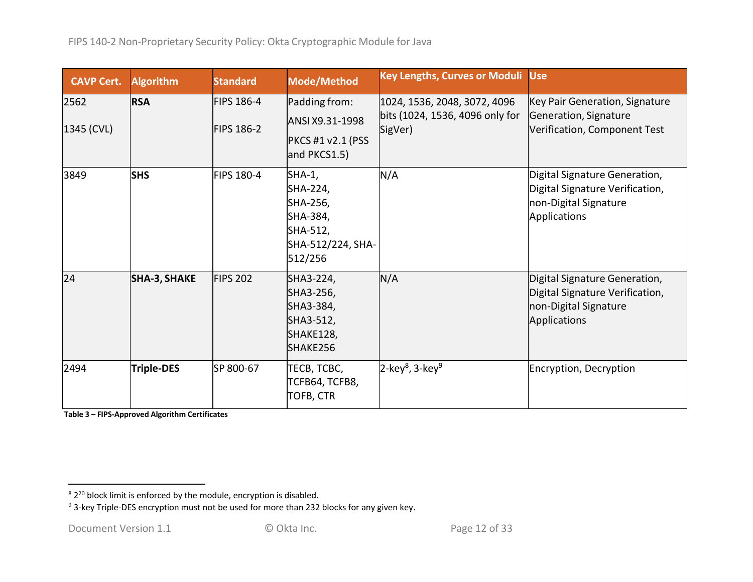| <b>CAVP Cert.</b>  | <b>Algorithm</b>    | <b>Standard</b>                        | Mode/Method                                                                            | Key Lengths, Curves or Moduli Use                                          |                                                                                                           |
|--------------------|---------------------|----------------------------------------|----------------------------------------------------------------------------------------|----------------------------------------------------------------------------|-----------------------------------------------------------------------------------------------------------|
| 2562<br>1345 (CVL) | <b>RSA</b>          | <b>FIPS 186-4</b><br><b>FIPS 186-2</b> | Padding from:<br>ANSI X9.31-1998<br><b>PKCS #1 v2.1 (PSS</b><br>and PKCS1.5)           | 1024, 1536, 2048, 3072, 4096<br>bits (1024, 1536, 4096 only for<br>SigVer) | Key Pair Generation, Signature<br>Generation, Signature<br>Verification, Component Test                   |
| 3849               | <b>SHS</b>          | <b>FIPS 180-4</b>                      | SHA-1,<br>SHA-224,<br>SHA-256,<br>SHA-384,<br>SHA-512,<br>SHA-512/224, SHA-<br>512/256 | N/A                                                                        | Digital Signature Generation,<br>Digital Signature Verification,<br>non-Digital Signature<br>Applications |
| 24                 | <b>SHA-3, SHAKE</b> | <b>FIPS 202</b>                        | SHA3-224,<br>SHA3-256,<br>SHA3-384,<br>SHA3-512,<br>SHAKE128,<br>SHAKE256              | N/A                                                                        | Digital Signature Generation,<br>Digital Signature Verification,<br>non-Digital Signature<br>Applications |
| 2494               | <b>Triple-DES</b>   | SP 800-67                              | TECB, TCBC,<br>TCFB64, TCFB8,<br><b>TOFB, CTR</b>                                      | $2$ -key <sup>8</sup> , 3-key <sup>9</sup>                                 | Encryption, Decryption                                                                                    |

**Table 3 – FIPS‐Approved Algorithm Certificates**

<sup>&</sup>lt;sup>8</sup> 2<sup>20</sup> block limit is enforced by the module, encryption is disabled.<br><sup>9</sup> 3-key Triple-DES encryption must not be used for more than 232 blocks for any given key.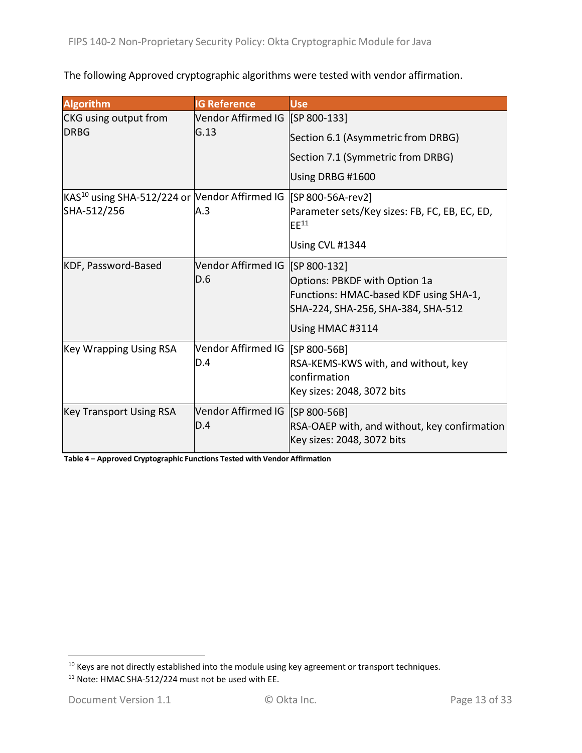The following Approved cryptographic algorithms were tested with vendor affirmation.

| <b>Algorithm</b>                                                            | <b>IG Reference</b>               | <b>Use</b>                                                  |
|-----------------------------------------------------------------------------|-----------------------------------|-------------------------------------------------------------|
| <b>CKG</b> using output from                                                | Vendor Affirmed IG [SP 800-133]   |                                                             |
| <b>DRBG</b>                                                                 | G.13                              | Section 6.1 (Asymmetric from DRBG)                          |
|                                                                             |                                   | Section 7.1 (Symmetric from DRBG)                           |
|                                                                             |                                   | Using DRBG #1600                                            |
| KAS <sup>10</sup> using SHA-512/224 or Vendor Affirmed IG [SP 800-56A-rev2] |                                   |                                                             |
| SHA-512/256                                                                 | A.3                               | Parameter sets/Key sizes: FB, FC, EB, EC, ED,<br>$E E^{11}$ |
|                                                                             |                                   | Using CVL #1344                                             |
| KDF, Password-Based                                                         | Vendor Affirmed IG [SP 800-132]   |                                                             |
|                                                                             | D.6                               | Options: PBKDF with Option 1a                               |
|                                                                             |                                   | Functions: HMAC-based KDF using SHA-1,                      |
|                                                                             |                                   | SHA-224, SHA-256, SHA-384, SHA-512                          |
|                                                                             |                                   | Using HMAC #3114                                            |
| <b>Key Wrapping Using RSA</b>                                               | Vendor Affirmed IG [SP 800-56B]   |                                                             |
|                                                                             | D.4                               | RSA-KEMS-KWS with, and without, key                         |
|                                                                             |                                   | confirmation                                                |
|                                                                             |                                   | Key sizes: 2048, 3072 bits                                  |
| <b>Key Transport Using RSA</b>                                              | Vendor Affirmed IG   [SP 800-56B] |                                                             |
|                                                                             | ID.4                              | RSA-OAEP with, and without, key confirmation                |
|                                                                             |                                   | Key sizes: 2048, 3072 bits                                  |

**Table 4 – Approved Cryptographic Functions Tested with Vendor Affirmation**

<sup>&</sup>lt;sup>10</sup> Keys are not directly established into the module using key agreement or transport techniques.

<sup>&</sup>lt;sup>11</sup> Note: HMAC SHA-512/224 must not be used with EE.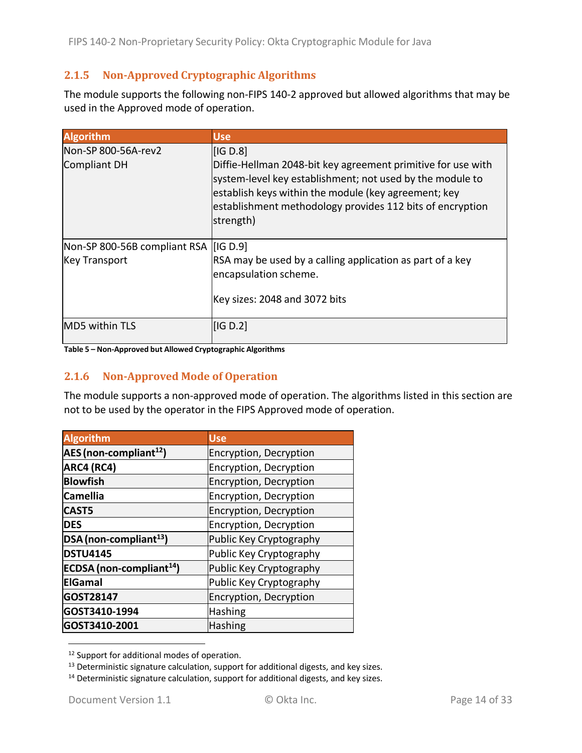## **2.1.5 Non‐Approved Cryptographic Algorithms**

The module supports the following non-FIPS 140-2 approved but allowed algorithms that may be used in the Approved mode of operation.

| <b>Algorithm</b>                                                | <b>Use</b>                                                                                                                                                                                                                                                            |
|-----------------------------------------------------------------|-----------------------------------------------------------------------------------------------------------------------------------------------------------------------------------------------------------------------------------------------------------------------|
| Non-SP 800-56A-rev2<br>Compliant DH                             | IG D.8<br>Diffie-Hellman 2048-bit key agreement primitive for use with<br>system-level key establishment; not used by the module to<br>establish keys within the module (key agreement; key<br>establishment methodology provides 112 bits of encryption<br>strength) |
| Non-SP 800-56B compliant RSA   [IG D.9]<br><b>Key Transport</b> | RSA may be used by a calling application as part of a key<br>encapsulation scheme.<br>Key sizes: 2048 and 3072 bits                                                                                                                                                   |
| <b>MD5 within TLS</b>                                           | IG D.2                                                                                                                                                                                                                                                                |

#### **Table 5 – Non‐Approved but Allowed Cryptographic Algorithms**

#### **2.1.6 Non‐Approved Mode of Operation**

The module supports a non-approved mode of operation. The algorithms listed in this section are not to be used by the operator in the FIPS Approved mode of operation.

| <b>Algorithm</b>                     | <b>Use</b>              |
|--------------------------------------|-------------------------|
| AES (non-compliant <sup>12</sup> )   | Encryption, Decryption  |
| ARC4 (RC4)                           | Encryption, Decryption  |
| <b>Blowfish</b>                      | Encryption, Decryption  |
| <b>Camellia</b>                      | Encryption, Decryption  |
| <b>CAST5</b>                         | Encryption, Decryption  |
| <b>DES</b>                           | Encryption, Decryption  |
| DSA (non-compliant <sup>13</sup> )   | Public Key Cryptography |
| <b>DSTU4145</b>                      | Public Key Cryptography |
| ECDSA (non-compliant <sup>14</sup> ) | Public Key Cryptography |
| <b>ElGamal</b>                       | Public Key Cryptography |
| GOST28147                            | Encryption, Decryption  |
| GOST3410-1994                        | <b>Hashing</b>          |
| GOST3410-2001                        | <b>Hashing</b>          |

<sup>&</sup>lt;sup>12</sup> Support for additional modes of operation.

<sup>&</sup>lt;sup>13</sup> Deterministic signature calculation, support for additional digests, and key sizes.

<sup>&</sup>lt;sup>14</sup> Deterministic signature calculation, support for additional digests, and key sizes.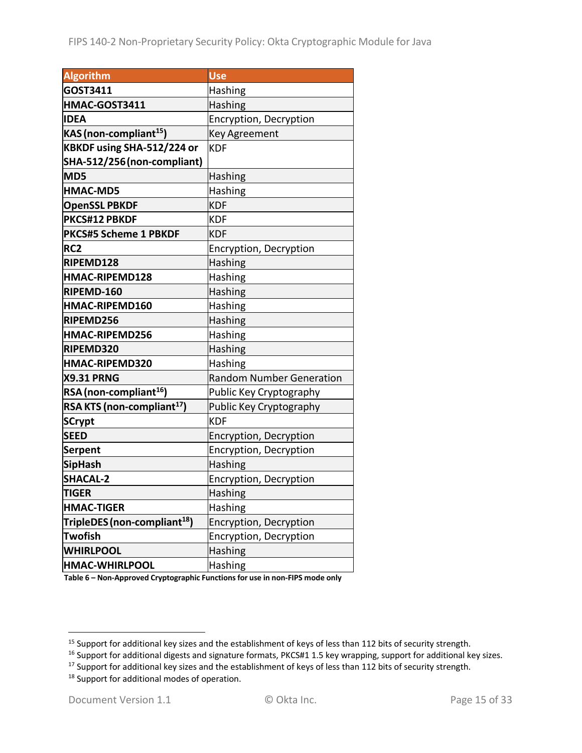| <b>Algorithm</b>                         | <b>Use</b>                      |
|------------------------------------------|---------------------------------|
| GOST3411                                 | Hashing                         |
| HMAC-GOST3411                            | Hashing                         |
| <b>IDEA</b>                              | Encryption, Decryption          |
| KAS (non-compliant <sup>15</sup> )       | <b>Key Agreement</b>            |
| KBKDF using SHA-512/224 or               | <b>KDF</b>                      |
| SHA-512/256 (non-compliant)              |                                 |
| MD5                                      | Hashing                         |
| <b>HMAC-MD5</b>                          | Hashing                         |
| <b>OpenSSL PBKDF</b>                     | <b>KDF</b>                      |
| <b>PKCS#12 PBKDF</b>                     | <b>KDF</b>                      |
| <b>PKCS#5 Scheme 1 PBKDF</b>             | <b>KDF</b>                      |
| RC <sub>2</sub>                          | Encryption, Decryption          |
| RIPEMD128                                | <b>Hashing</b>                  |
| HMAC-RIPEMD128                           | Hashing                         |
| RIPEMD-160                               | <b>Hashing</b>                  |
| HMAC-RIPEMD160                           | Hashing                         |
| RIPEMD256                                | Hashing                         |
| HMAC-RIPEMD256                           | Hashing                         |
| RIPEMD320                                | Hashing                         |
| HMAC-RIPEMD320                           | Hashing                         |
| <b>X9.31 PRNG</b>                        | <b>Random Number Generation</b> |
| RSA (non-compliant <sup>16</sup> )       | Public Key Cryptography         |
| RSA KTS (non-compliant <sup>17</sup> )   | Public Key Cryptography         |
| <b>SCrypt</b>                            | <b>KDF</b>                      |
| <b>SEED</b>                              | Encryption, Decryption          |
| <b>Serpent</b>                           | Encryption, Decryption          |
| <b>SipHash</b>                           | Hashing                         |
| <b>SHACAL-2</b>                          | Encryption, Decryption          |
| <b>TIGER</b>                             | Hashing                         |
| <b>HMAC-TIGER</b>                        | <b>Hashing</b>                  |
| TripleDES (non-compliant <sup>18</sup> ) | Encryption, Decryption          |
| <b>Twofish</b>                           | Encryption, Decryption          |
| <b>WHIRLPOOL</b>                         | Hashing                         |
| HMAC-WHIRLPOOL                           | Hashing                         |

**Table 6 – Non‐Approved Cryptographic Functionsfor use in non‐FIPS mode only**

<sup>&</sup>lt;sup>15</sup> Support for additional key sizes and the establishment of keys of less than 112 bits of security strength.

<sup>&</sup>lt;sup>16</sup> Support for additional digests and signature formats, PKCS#1 1.5 key wrapping, support for additional key sizes.

<sup>&</sup>lt;sup>17</sup> Support for additional key sizes and the establishment of keys of less than 112 bits of security strength.

<sup>&</sup>lt;sup>18</sup> Support for additional modes of operation.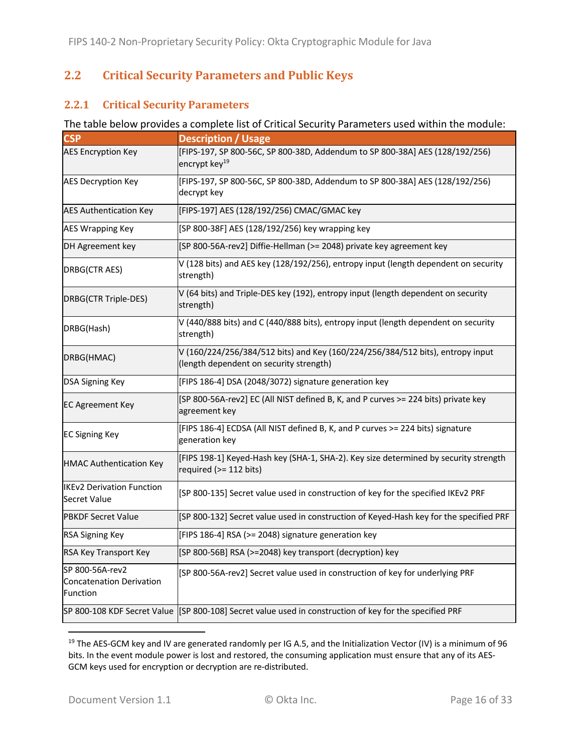# **2.2 Critical Security Parameters and Public Keys**

#### **2.2.1 Critical Security Parameters**

#### The table below provides a complete list of Critical Security Parameters used within the module:

| <b>CSP</b>                                              | <b>Description / Usage</b>                                                                                                |
|---------------------------------------------------------|---------------------------------------------------------------------------------------------------------------------------|
| <b>AES Encryption Key</b>                               | [FIPS-197, SP 800-56C, SP 800-38D, Addendum to SP 800-38A] AES (128/192/256)<br>encrypt key <sup>19</sup>                 |
| <b>AES Decryption Key</b>                               | [FIPS-197, SP 800-56C, SP 800-38D, Addendum to SP 800-38A] AES (128/192/256)<br>decrypt key                               |
| <b>AES Authentication Key</b>                           | [FIPS-197] AES (128/192/256) CMAC/GMAC key                                                                                |
| <b>AES Wrapping Key</b>                                 | [SP 800-38F] AES (128/192/256) key wrapping key                                                                           |
| DH Agreement key                                        | [SP 800-56A-rev2] Diffie-Hellman (>= 2048) private key agreement key                                                      |
| DRBG(CTR AES)                                           | V (128 bits) and AES key (128/192/256), entropy input (length dependent on security<br>strength)                          |
| DRBG(CTR Triple-DES)                                    | V (64 bits) and Triple-DES key (192), entropy input (length dependent on security<br>strength)                            |
| DRBG(Hash)                                              | V (440/888 bits) and C (440/888 bits), entropy input (length dependent on security<br>strength)                           |
| DRBG(HMAC)                                              | V (160/224/256/384/512 bits) and Key (160/224/256/384/512 bits), entropy input<br>(length dependent on security strength) |
| <b>DSA Signing Key</b>                                  | [FIPS 186-4] DSA (2048/3072) signature generation key                                                                     |
| <b>EC Agreement Key</b>                                 | [SP 800-56A-rev2] EC (All NIST defined B, K, and P curves >= 224 bits) private key<br>agreement key                       |
| <b>EC Signing Key</b>                                   | [FIPS 186-4] ECDSA (All NIST defined B, K, and P curves >= 224 bits) signature<br>generation key                          |
| <b>HMAC Authentication Key</b>                          | [FIPS 198-1] Keyed-Hash key (SHA-1, SHA-2). Key size determined by security strength<br>required (>= 112 bits)            |
| <b>IKEv2 Derivation Function</b><br><b>Secret Value</b> | [SP 800-135] Secret value used in construction of key for the specified IKEv2 PRF                                         |
| <b>PBKDF Secret Value</b>                               | [SP 800-132] Secret value used in construction of Keyed-Hash key for the specified PRF                                    |
| <b>RSA Signing Key</b>                                  | [FIPS 186-4] RSA (>= 2048) signature generation key                                                                       |
| RSA Key Transport Key                                   | [SP 800-56B] RSA (>=2048) key transport (decryption) key                                                                  |
| SP 800-56A-rev2<br>Concatenation Derivation<br>Function | [SP 800-56A-rev2] Secret value used in construction of key for underlying PRF                                             |
|                                                         | SP 800-108 KDF Secret Value [SP 800-108] Secret value used in construction of key for the specified PRF                   |

<sup>&</sup>lt;sup>19</sup> The AES-GCM key and IV are generated randomly per IG A.5, and the Initialization Vector (IV) is a minimum of 96 bits. In the event module power is lost and restored, the consuming application must ensure that any of its AES‐ GCM keys used for encryption or decryption are re‐distributed.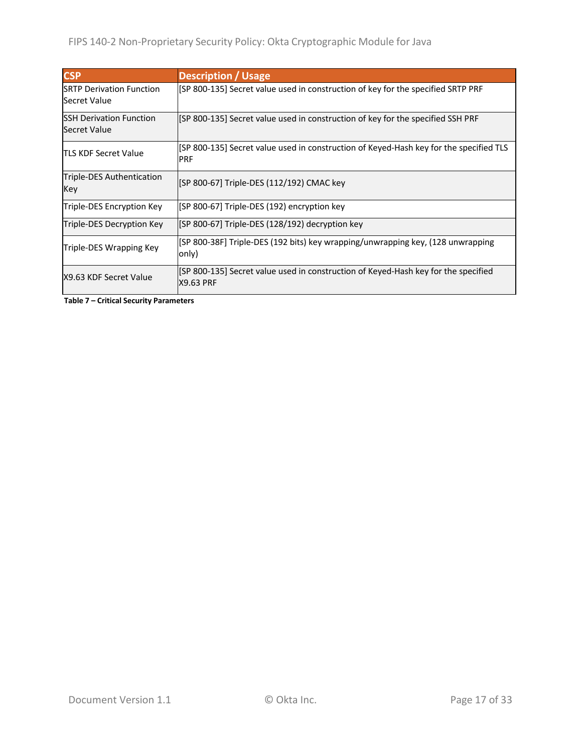| <b>CSP</b>                                              | <b>Description / Usage</b>                                                                             |
|---------------------------------------------------------|--------------------------------------------------------------------------------------------------------|
| <b>ISRTP Derivation Function</b><br><b>Secret Value</b> | [SP 800-135] Secret value used in construction of key for the specified SRTP PRF                       |
| <b>ISSH Derivation Function</b><br>Secret Value         | [SP 800-135] Secret value used in construction of key for the specified SSH PRF                        |
| <b>TLS KDF Secret Value</b>                             | [SP 800-135] Secret value used in construction of Keyed-Hash key for the specified TLS<br><b>IPRF</b>  |
| Triple-DES Authentication<br>Key                        | [SP 800-67] Triple-DES (112/192) CMAC key                                                              |
| Triple-DES Encryption Key                               | [SP 800-67] Triple-DES (192) encryption key                                                            |
| Triple-DES Decryption Key                               | [SP 800-67] Triple-DES (128/192) decryption key                                                        |
| Triple-DES Wrapping Key                                 | [SP 800-38F] Triple-DES (192 bits) key wrapping/unwrapping key, (128 unwrapping<br>only)               |
| IX9.63 KDF Secret Value                                 | [SP 800-135] Secret value used in construction of Keyed-Hash key for the specified<br><b>X9.63 PRF</b> |

**Table 7 – Critical Security Parameters**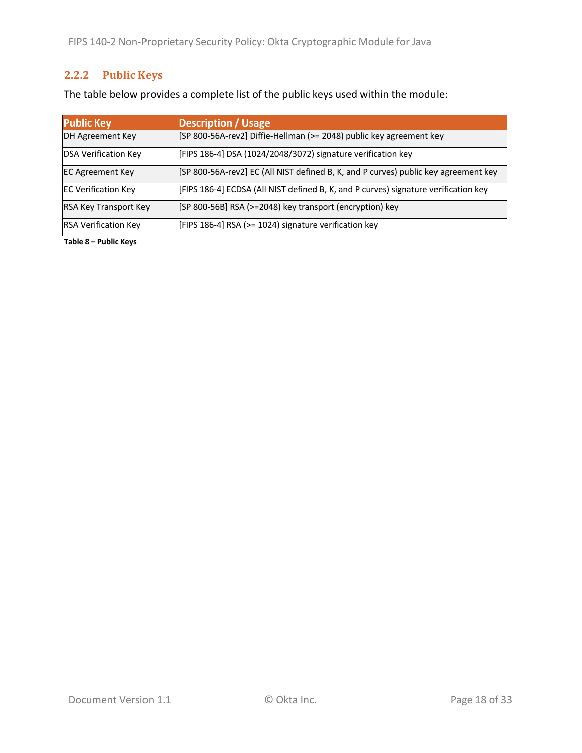# **2.2.2 Public Keys**

The table below provides a complete list of the public keys used within the module:

| <b>Public Key</b>            | <b>Description / Usage</b>                                                          |
|------------------------------|-------------------------------------------------------------------------------------|
| DH Agreement Key             | [SP 800-56A-rev2] Diffie-Hellman (>= 2048) public key agreement key                 |
| <b>DSA Verification Key</b>  | [FIPS 186-4] DSA (1024/2048/3072) signature verification key                        |
| <b>EC Agreement Key</b>      | [SP 800-56A-rev2] EC (All NIST defined B, K, and P curves) public key agreement key |
| <b>EC Verification Key</b>   | [FIPS 186-4] ECDSA (All NIST defined B, K, and P curves) signature verification key |
| <b>RSA Key Transport Key</b> | [SP 800-56B] RSA (>=2048) key transport (encryption) key                            |
| <b>RSA Verification Key</b>  | [FIPS 186-4] RSA (>= 1024) signature verification key                               |

**Table 8 – Public Keys**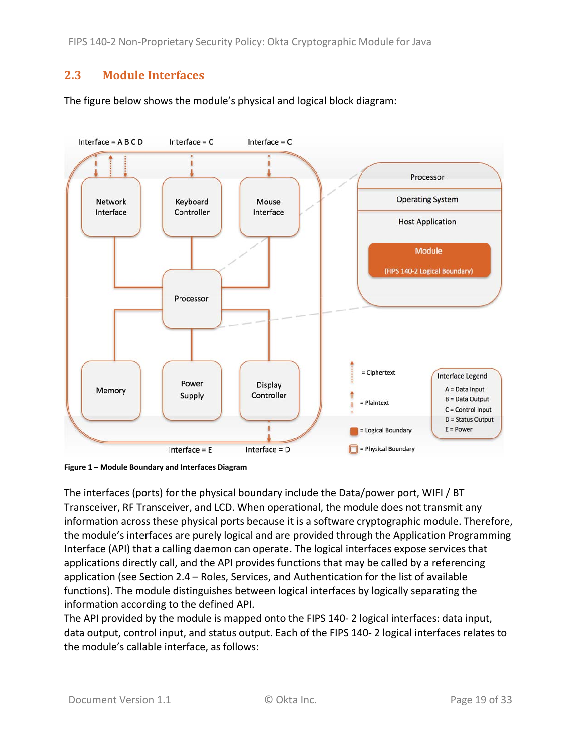FIPS 140‐2 Non‐Proprietary Security Policy: Okta Cryptographic Module for Java

## **2.3 Module Interfaces**

The figure below shows the module's physical and logical block diagram:



**Figure 1 – Module Boundary and Interfaces Diagram**

The interfaces (ports) for the physical boundary include the Data/power port, WIFI / BT Transceiver, RF Transceiver, and LCD. When operational, the module does not transmit any information across these physical ports because it is a software cryptographic module. Therefore, the module's interfaces are purely logical and are provided through the Application Programming Interface (API) that a calling daemon can operate. The logical interfaces expose services that applications directly call, and the API provides functions that may be called by a referencing application (see Section 2.4 – Roles, Services, and Authentication for the list of available functions). The module distinguishes between logical interfaces by logically separating the information according to the defined API.

The API provided by the module is mapped onto the FIPS 140‐ 2 logical interfaces: data input, data output, control input, and status output. Each of the FIPS 140‐ 2 logical interfaces relates to the module's callable interface, as follows: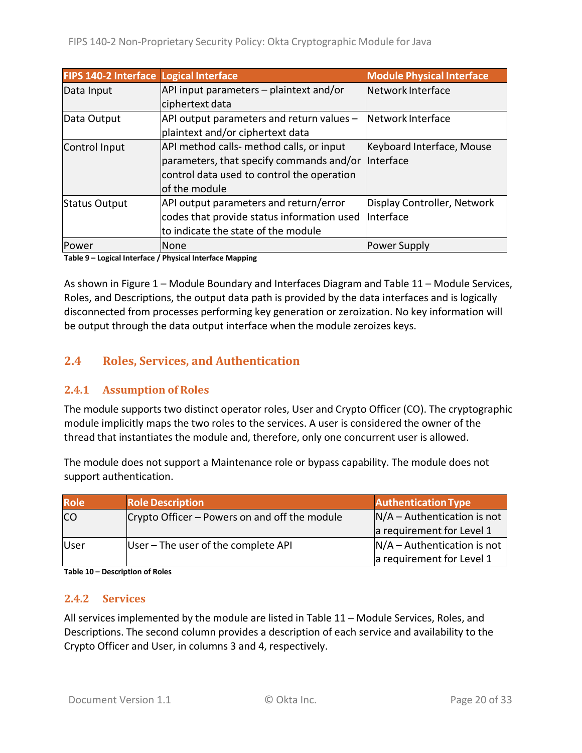| FIPS 140-2 Interface Logical Interface |                                            | <b>Module Physical Interface</b> |
|----------------------------------------|--------------------------------------------|----------------------------------|
| Data Input                             | API input parameters - plaintext and/or    | Network Interface                |
|                                        | ciphertext data                            |                                  |
| Data Output                            | API output parameters and return values -  | Network Interface                |
|                                        | plaintext and/or ciphertext data           |                                  |
| Control Input                          | API method calls- method calls, or input   | Keyboard Interface, Mouse        |
|                                        | parameters, that specify commands and/or   | Interface                        |
|                                        | control data used to control the operation |                                  |
|                                        | of the module                              |                                  |
| <b>Status Output</b>                   | API output parameters and return/error     | Display Controller, Network      |
|                                        | codes that provide status information used | Interface                        |
|                                        | to indicate the state of the module        |                                  |
| lPower                                 | None                                       | Power Supply                     |

**Table 9 – Logical Interface / Physical Interface Mapping**

As shown in Figure 1 – Module Boundary and Interfaces Diagram and Table 11 – Module Services, Roles, and Descriptions, the output data path is provided by the data interfaces and is logically disconnected from processes performing key generation or zeroization. No key information will be output through the data output interface when the module zeroizes keys.

# **2.4 Roles, Services, and Authentication**

#### **2.4.1 Assumption of Roles**

The module supports two distinct operator roles, User and Crypto Officer (CO). The cryptographic module implicitly maps the two roles to the services. A user is considered the owner of the thread that instantiates the module and, therefore, only one concurrent user is allowed.

The module does not support a Maintenance role or bypass capability. The module does not support authentication.

| <b>Role</b> | <b>Role Description</b>                       | <b>Authentication Type</b>    |
|-------------|-----------------------------------------------|-------------------------------|
| <b>CO</b>   | Crypto Officer – Powers on and off the module | $N/A -$ Authentication is not |
|             |                                               | a requirement for Level 1     |
| lUser       | User – The user of the complete API           | $N/A -$ Authentication is not |
|             |                                               | a requirement for Level 1     |

**Table 10 – Description of Roles**

#### **2.4.2 Services**

All services implemented by the module are listed in Table 11 – Module Services, Roles, and Descriptions. The second column provides a description of each service and availability to the Crypto Officer and User, in columns 3 and 4, respectively.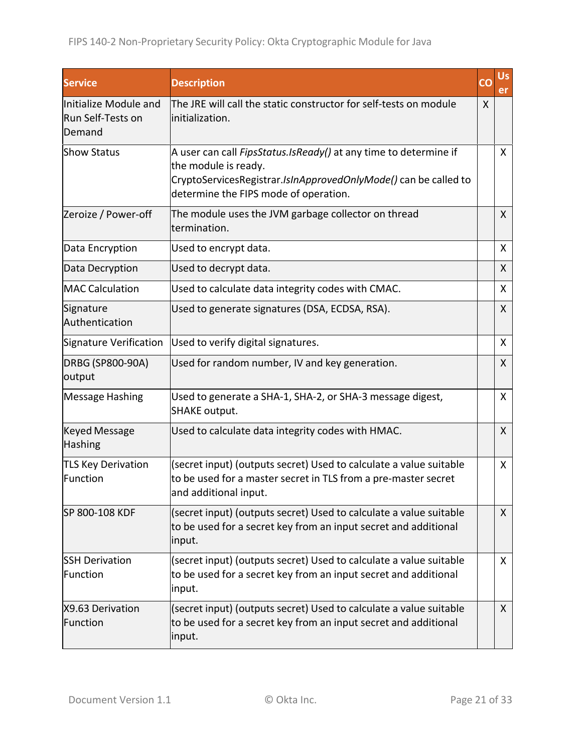| <b>Service</b>                                       | <b>Description</b>                                                                                                                                                                                   | CO | Us,<br>er    |
|------------------------------------------------------|------------------------------------------------------------------------------------------------------------------------------------------------------------------------------------------------------|----|--------------|
| Initialize Module and<br>Run Self-Tests on<br>Demand | The JRE will call the static constructor for self-tests on module<br>linitialization.                                                                                                                | X  |              |
| <b>Show Status</b>                                   | A user can call FipsStatus.IsReady() at any time to determine if<br>the module is ready.<br>CryptoServicesRegistrar.IsInApprovedOnlyMode() can be called to<br>determine the FIPS mode of operation. |    | $\mathsf{X}$ |
| Zeroize / Power-off                                  | The module uses the JVM garbage collector on thread<br>termination.                                                                                                                                  |    | X            |
| Data Encryption                                      | Used to encrypt data.                                                                                                                                                                                |    | $\mathsf{X}$ |
| Data Decryption                                      | Used to decrypt data.                                                                                                                                                                                |    | X            |
| <b>MAC Calculation</b>                               | Used to calculate data integrity codes with CMAC.                                                                                                                                                    |    | X            |
| Signature<br>Authentication                          | Used to generate signatures (DSA, ECDSA, RSA).                                                                                                                                                       |    | X            |
| Signature Verification                               | Used to verify digital signatures.                                                                                                                                                                   |    | X            |
| DRBG (SP800-90A)<br>output                           | Used for random number, IV and key generation.                                                                                                                                                       |    | X            |
| <b>Message Hashing</b>                               | Used to generate a SHA-1, SHA-2, or SHA-3 message digest,<br><b>SHAKE output.</b>                                                                                                                    |    | X            |
| <b>Keyed Message</b><br><b>Hashing</b>               | Used to calculate data integrity codes with HMAC.                                                                                                                                                    |    | $\mathsf{X}$ |
| <b>TLS Key Derivation</b><br>Function                | (secret input) (outputs secret) Used to calculate a value suitable<br>to be used for a master secret in TLS from a pre-master secret<br>and additional input.                                        |    | X            |
| SP 800-108 KDF                                       | (secret input) (outputs secret) Used to calculate a value suitable<br>to be used for a secret key from an input secret and additional<br>input.                                                      |    | $\mathsf{X}$ |
| <b>SSH Derivation</b><br>Function                    | (secret input) (outputs secret) Used to calculate a value suitable<br>to be used for a secret key from an input secret and additional<br>input.                                                      |    | $\mathsf{X}$ |
| X9.63 Derivation<br>Function                         | (secret input) (outputs secret) Used to calculate a value suitable<br>to be used for a secret key from an input secret and additional<br>input.                                                      |    | X            |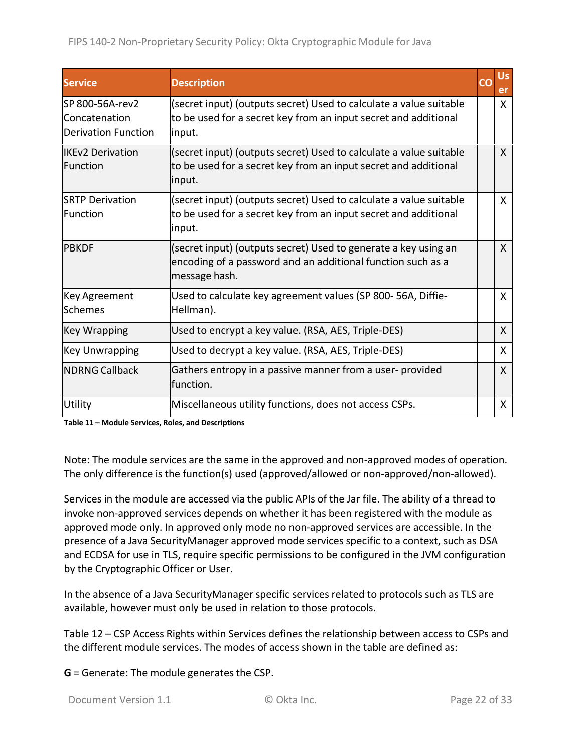| <b>Service</b>                                                  | <b>Description</b>                                                                                                                              | Us<br>er     |
|-----------------------------------------------------------------|-------------------------------------------------------------------------------------------------------------------------------------------------|--------------|
| lSP 800-56A-rev2<br>Concatenation<br><b>Derivation Function</b> | (secret input) (outputs secret) Used to calculate a value suitable<br>to be used for a secret key from an input secret and additional<br>input. | X            |
| lIKEv2 Derivation<br><b>Function</b>                            | (secret input) (outputs secret) Used to calculate a value suitable<br>to be used for a secret key from an input secret and additional<br>input. | $\mathsf{X}$ |
| <b>SRTP Derivation</b><br>lFunction                             | (secret input) (outputs secret) Used to calculate a value suitable<br>to be used for a secret key from an input secret and additional<br>input. | $\mathsf{X}$ |
| IPBKDF                                                          | (secret input) (outputs secret) Used to generate a key using an<br>encoding of a password and an additional function such as a<br>message hash. | $\mathsf{X}$ |
| <b>Key Agreement</b><br>Schemes                                 | Used to calculate key agreement values (SP 800-56A, Diffie-<br>Hellman).                                                                        | X            |
| <b>Key Wrapping</b>                                             | Used to encrypt a key value. (RSA, AES, Triple-DES)                                                                                             | $\mathsf{X}$ |
| <b>Key Unwrapping</b>                                           | Used to decrypt a key value. (RSA, AES, Triple-DES)                                                                                             | X            |
| <b>NDRNG Callback</b>                                           | Gathers entropy in a passive manner from a user-provided<br>function.                                                                           | X            |
| Utility                                                         | Miscellaneous utility functions, does not access CSPs.                                                                                          | X            |

**Table 11 – Module Services, Roles, and Descriptions**

Note: The module services are the same in the approved and non‐approved modes of operation. The only difference is the function(s) used (approved/allowed or non‐approved/non‐allowed).

Services in the module are accessed via the public APIs of the Jar file. The ability of a thread to invoke non‐approved services depends on whether it has been registered with the module as approved mode only. In approved only mode no non‐approved services are accessible. In the presence of a Java SecurityManager approved mode services specific to a context, such as DSA and ECDSA for use in TLS, require specific permissions to be configured in the JVM configuration by the Cryptographic Officer or User.

In the absence of a Java SecurityManager specific services related to protocols such as TLS are available, however must only be used in relation to those protocols.

Table 12 – CSP Access Rights within Services defines the relationship between access to CSPs and the different module services. The modes of access shown in the table are defined as:

**G** = Generate: The module generates the CSP.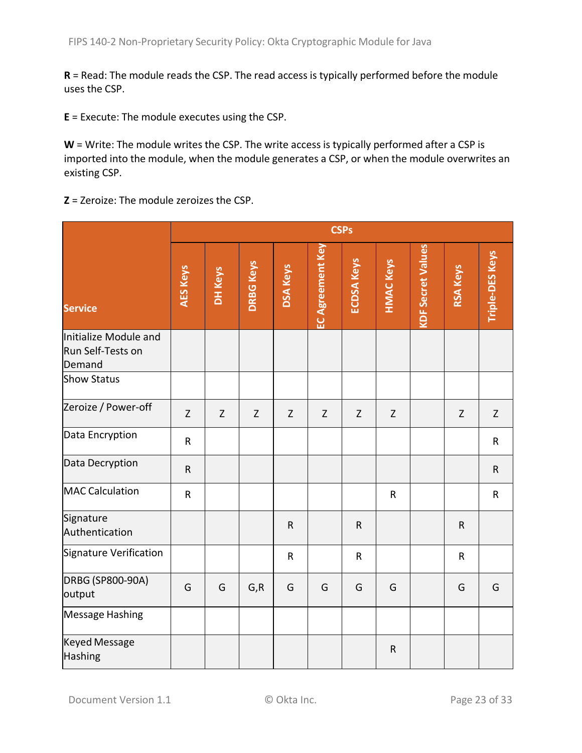**R** = Read: The module reads the CSP. The read access is typically performed before the module uses the CSP.

**E** = Execute: The module executes using the CSP.

W = Write: The module writes the CSP. The write access is typically performed after a CSP is imported into the module, when the module generates a CSP, or when the module overwrites an existing CSP.

**Z** = Zeroize: The module zeroizes the CSP.

|                                                      | <b>CSPs</b>     |         |                  |                 |                         |                   |                  |                          |                 |                        |
|------------------------------------------------------|-----------------|---------|------------------|-----------------|-------------------------|-------------------|------------------|--------------------------|-----------------|------------------------|
| <b>Service</b>                                       | <b>AES Keys</b> | DH Keys | <b>DRBG Keys</b> | <b>DSA Keys</b> | <b>EC Agreement Key</b> | <b>ECDSA Keys</b> | <b>HMAC Keys</b> | <b>KDF Secret Values</b> | <b>RSA Keys</b> | <b>Triple-DES Keys</b> |
| Initialize Module and<br>Run Self-Tests on<br>Demand |                 |         |                  |                 |                         |                   |                  |                          |                 |                        |
| <b>Show Status</b>                                   |                 |         |                  |                 |                         |                   |                  |                          |                 |                        |
| Zeroize / Power-off                                  | $\mathsf Z$     | Z       | $\mathsf Z$      | $\mathsf Z$     | $\mathsf Z$             | $\mathsf Z$       | $\mathsf Z$      |                          | $\mathsf{Z}$    | Z                      |
| Data Encryption                                      | $\sf R$         |         |                  |                 |                         |                   |                  |                          |                 | $\mathsf R$            |
| Data Decryption                                      | ${\sf R}$       |         |                  |                 |                         |                   |                  |                          |                 | $\mathsf R$            |
| <b>MAC Calculation</b>                               | $\mathsf R$     |         |                  |                 |                         |                   | $\mathsf{R}$     |                          |                 | $\mathsf R$            |
| Signature<br>Authentication                          |                 |         |                  | $\mathsf R$     |                         | $\mathsf{R}$      |                  |                          | $\mathsf{R}$    |                        |
| Signature Verification                               |                 |         |                  | ${\sf R}$       |                         | $\mathsf{R}$      |                  |                          | $\mathsf{R}$    |                        |
| <b>DRBG (SP800-90A)</b><br>output                    | G               | G       | G, R             | G               | G                       | G                 | G                |                          | G               | G                      |
| <b>Message Hashing</b>                               |                 |         |                  |                 |                         |                   |                  |                          |                 |                        |
| <b>Keyed Message</b><br>Hashing                      |                 |         |                  |                 |                         |                   | $\mathsf R$      |                          |                 |                        |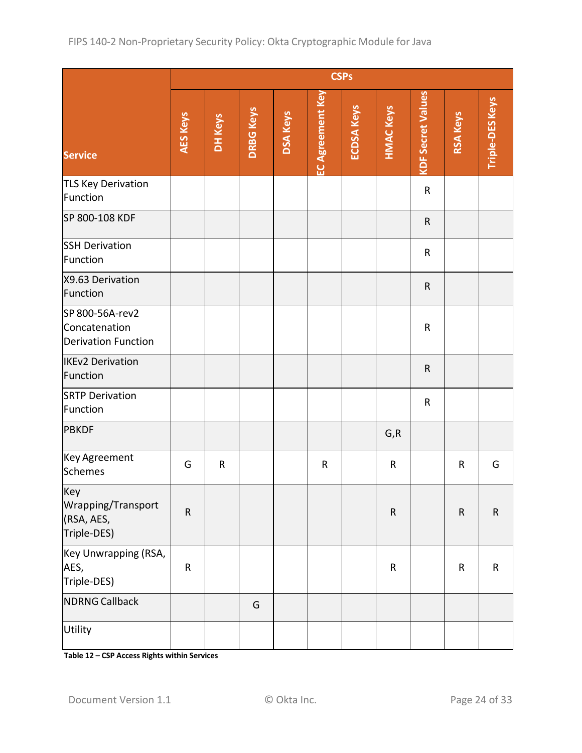|                                                                | <b>CSPs</b>     |             |                  |                 |                         |                   |                  |                          |                 |                 |
|----------------------------------------------------------------|-----------------|-------------|------------------|-----------------|-------------------------|-------------------|------------------|--------------------------|-----------------|-----------------|
| <b>Service</b>                                                 | <b>AES Keys</b> | DH Keys     | <b>DRBG Keys</b> | <b>DSA Keys</b> | <b>EC Agreement Key</b> | <b>ECDSA Keys</b> | <b>HMAC Keys</b> | <b>KDF Secret Values</b> | <b>RSA Keys</b> | Triple-DES Keys |
| <b>TLS Key Derivation</b><br>Function                          |                 |             |                  |                 |                         |                   |                  | ${\sf R}$                |                 |                 |
| SP 800-108 KDF                                                 |                 |             |                  |                 |                         |                   |                  | $\mathsf{R}$             |                 |                 |
| <b>SSH Derivation</b><br>Function                              |                 |             |                  |                 |                         |                   |                  | $\mathsf R$              |                 |                 |
| X9.63 Derivation<br>Function                                   |                 |             |                  |                 |                         |                   |                  | ${\sf R}$                |                 |                 |
| SP 800-56A-rev2<br>Concatenation<br><b>Derivation Function</b> |                 |             |                  |                 |                         |                   |                  | ${\sf R}$                |                 |                 |
| <b>IKEv2 Derivation</b><br>Function                            |                 |             |                  |                 |                         |                   |                  | ${\sf R}$                |                 |                 |
| <b>SRTP Derivation</b><br>Function                             |                 |             |                  |                 |                         |                   |                  | $\mathsf R$              |                 |                 |
| PBKDF                                                          |                 |             |                  |                 |                         |                   | G, R             |                          |                 |                 |
| Key Agreement<br>Schemes                                       | G               | $\mathsf R$ |                  |                 | $\mathsf R$             |                   | ${\sf R}$        |                          | R               | G               |
| Key<br>Wrapping/Transport<br>(RSA, AES,<br>Triple-DES)         | ${\sf R}$       |             |                  |                 |                         |                   | ${\sf R}$        |                          | ${\sf R}$       | $\mathsf R$     |
| Key Unwrapping (RSA,<br>AES,<br>Triple-DES)                    | $\sf R$         |             |                  |                 |                         |                   | ${\sf R}$        |                          | ${\sf R}$       | $\mathsf R$     |
| <b>NDRNG Callback</b>                                          |                 |             | G                |                 |                         |                   |                  |                          |                 |                 |
| Utility                                                        |                 |             |                  |                 |                         |                   |                  |                          |                 |                 |

**Table 12 – CSP Access Rights within Services**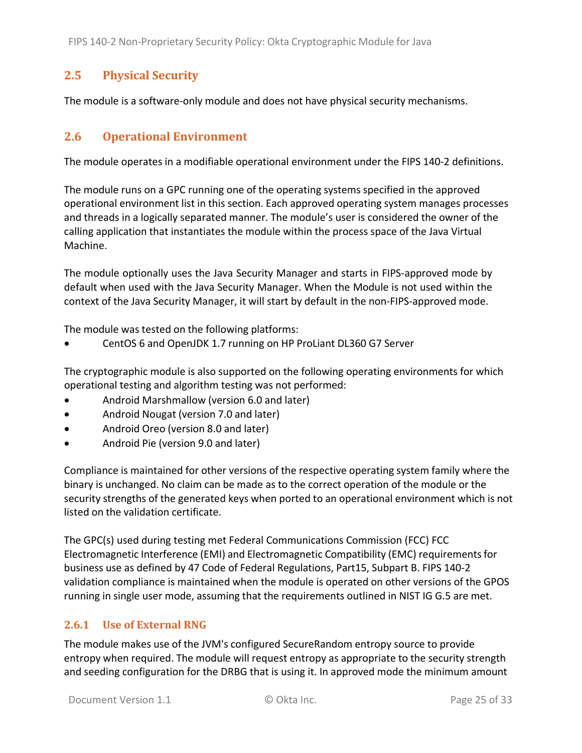## **2.5 Physical Security**

The module is a software‐only module and does not have physical security mechanisms.

### **2.6 Operational Environment**

The module operates in a modifiable operational environment under the FIPS 140‐2 definitions.

The module runs on a GPC running one of the operating systems specified in the approved operational environment list in this section. Each approved operating system manages processes and threads in a logically separated manner. The module's user is considered the owner of the calling application that instantiates the module within the process space of the Java Virtual Machine.

The module optionally uses the Java Security Manager and starts in FIPS‐approved mode by default when used with the Java Security Manager. When the Module is not used within the context of the Java Security Manager, it will start by default in the non‐FIPS‐approved mode.

The module was tested on the following platforms:

CentOS 6 and OpenJDK 1.7 running on HP ProLiant DL360 G7 Server

The cryptographic module is also supported on the following operating environments for which operational testing and algorithm testing was not performed:

- Android Marshmallow (version 6.0 and later)
- Android Nougat (version 7.0 and later)
- Android Oreo (version 8.0 and later)
- Android Pie (version 9.0 and later)

Compliance is maintained for other versions of the respective operating system family where the binary is unchanged. No claim can be made as to the correct operation of the module or the security strengths of the generated keys when ported to an operational environment which is not listed on the validation certificate.

The GPC(s) used during testing met Federal Communications Commission (FCC) FCC Electromagnetic Interference (EMI) and Electromagnetic Compatibility (EMC) requirementsfor business use as defined by 47 Code of Federal Regulations, Part15, Subpart B. FIPS 140‐2 validation compliance is maintained when the module is operated on other versions of the GPOS running in single user mode, assuming that the requirements outlined in NIST IG G.5 are met.

### **2.6.1 Use of External RNG**

The module makes use of the JVM's configured SecureRandom entropy source to provide entropy when required. The module will request entropy as appropriate to the security strength and seeding configuration for the DRBG that is using it. In approved mode the minimum amount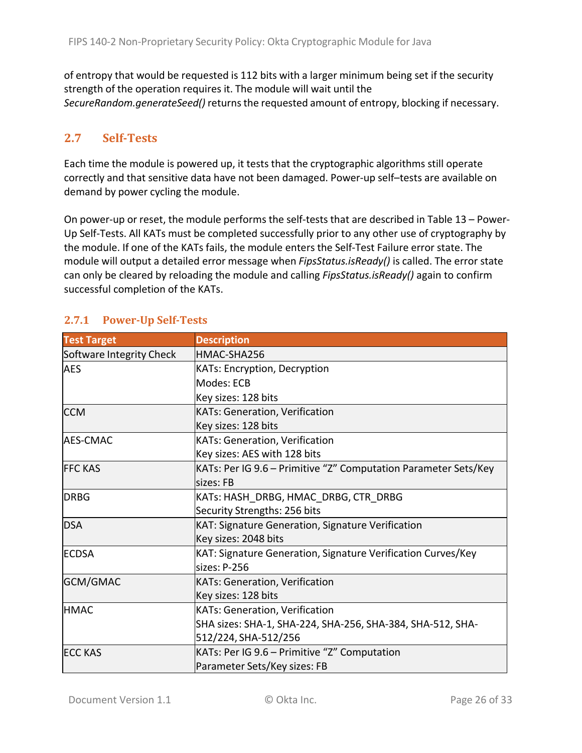of entropy that would be requested is 112 bits with a larger minimum being set if the security strength of the operation requires it. The module will wait until the SecureRandom.generateSeed() returns the requested amount of entropy, blocking if necessary.

## **2.7 Self‐Tests**

Each time the module is powered up, it tests that the cryptographic algorithms still operate correctly and that sensitive data have not been damaged. Power‐up self–tests are available on demand by power cycling the module.

On power‐up or reset, the module performs the self‐tests that are described in Table 13 – Power‐ Up Self‐Tests. All KATs must be completed successfully prior to any other use of cryptography by the module. If one of the KATs fails, the module enters the Self‐Test Failure error state. The module will output a detailed error message when *FipsStatus.isReady()* is called. The error state can only be cleared by reloading the module and calling *FipsStatus.isReady()* again to confirm successful completion of the KATs.

| <b>Test Target</b>       | <b>Description</b>                                              |
|--------------------------|-----------------------------------------------------------------|
| Software Integrity Check | HMAC-SHA256                                                     |
| AES                      | KATs: Encryption, Decryption                                    |
|                          | Modes: ECB                                                      |
|                          | Key sizes: 128 bits                                             |
| <b>CCM</b>               | <b>KATs: Generation, Verification</b>                           |
|                          | Key sizes: 128 bits                                             |
| <b>AES-CMAC</b>          | KATs: Generation, Verification                                  |
|                          | Key sizes: AES with 128 bits                                    |
| <b>FFC KAS</b>           | KATs: Per IG 9.6 - Primitive "Z" Computation Parameter Sets/Key |
|                          | sizes: FB                                                       |
| <b>DRBG</b>              | KATs: HASH_DRBG, HMAC_DRBG, CTR DRBG                            |
|                          | Security Strengths: 256 bits                                    |
| <b>DSA</b>               | KAT: Signature Generation, Signature Verification               |
|                          | Key sizes: 2048 bits                                            |
| <b>IECDSA</b>            | KAT: Signature Generation, Signature Verification Curves/Key    |
|                          | sizes: P-256                                                    |
| GCM/GMAC                 | KATs: Generation, Verification                                  |
|                          | Key sizes: 128 bits                                             |
| <b>HMAC</b>              | KATs: Generation, Verification                                  |
|                          | SHA sizes: SHA-1, SHA-224, SHA-256, SHA-384, SHA-512, SHA-      |
|                          | 512/224, SHA-512/256                                            |
| <b>ECC KAS</b>           | KATs: Per IG 9.6 – Primitive "Z" Computation                    |
|                          | Parameter Sets/Key sizes: FB                                    |

# **2.7.1 Power‐Up Self‐Tests**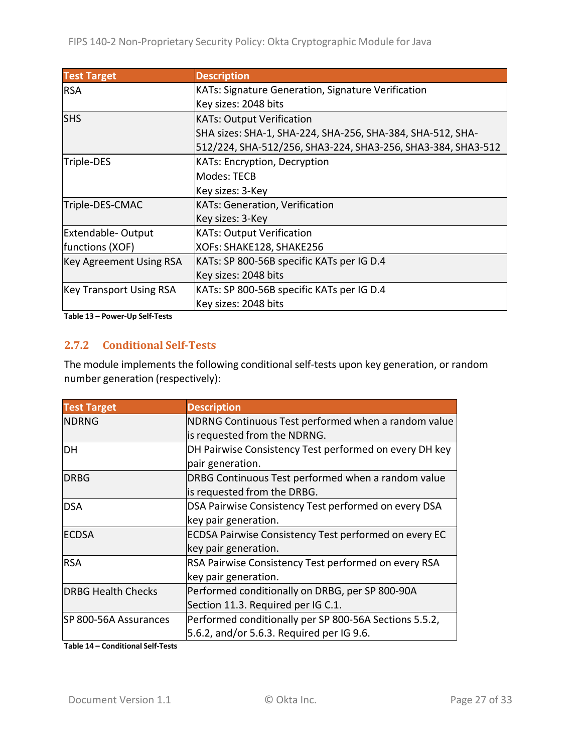| <b>Test Target</b>             | <b>Description</b>                                           |
|--------------------------------|--------------------------------------------------------------|
| <b>RSA</b>                     | KATs: Signature Generation, Signature Verification           |
|                                | Key sizes: 2048 bits                                         |
| <b>SHS</b>                     | <b>KATs: Output Verification</b>                             |
|                                | SHA sizes: SHA-1, SHA-224, SHA-256, SHA-384, SHA-512, SHA-   |
|                                | 512/224, SHA-512/256, SHA3-224, SHA3-256, SHA3-384, SHA3-512 |
| Triple-DES                     | KATs: Encryption, Decryption                                 |
|                                | Modes: TECB                                                  |
|                                | Key sizes: 3-Key                                             |
| Triple-DES-CMAC                | <b>KATs: Generation, Verification</b>                        |
|                                | Key sizes: 3-Key                                             |
| <b>Extendable-Output</b>       | <b>KATs: Output Verification</b>                             |
| functions (XOF)                | XOFs: SHAKE128, SHAKE256                                     |
| <b>Key Agreement Using RSA</b> | KATs: SP 800-56B specific KATs per IG D.4                    |
|                                | Key sizes: 2048 bits                                         |
| <b>Key Transport Using RSA</b> | KATs: SP 800-56B specific KATs per IG D.4                    |
|                                | Key sizes: 2048 bits                                         |

**Table 13 – Power‐Up Self‐Tests**

#### **2.7.2 Conditional Self‐Tests**

The module implements the following conditional self‐tests upon key generation, or random number generation (respectively):

| <b>Test Target</b>        | <b>Description</b>                                           |
|---------------------------|--------------------------------------------------------------|
| <b>NDRNG</b>              | NDRNG Continuous Test performed when a random value          |
|                           | is requested from the NDRNG.                                 |
| DH                        | DH Pairwise Consistency Test performed on every DH key       |
|                           | pair generation.                                             |
| IDRBG                     | DRBG Continuous Test performed when a random value           |
|                           | is requested from the DRBG.                                  |
| <b>DSA</b>                | DSA Pairwise Consistency Test performed on every DSA         |
|                           | key pair generation.                                         |
| <b>ECDSA</b>              | <b>ECDSA Pairwise Consistency Test performed on every EC</b> |
|                           | key pair generation.                                         |
| <b>RSA</b>                | RSA Pairwise Consistency Test performed on every RSA         |
|                           | key pair generation.                                         |
| <b>DRBG Health Checks</b> | Performed conditionally on DRBG, per SP 800-90A              |
|                           | Section 11.3. Required per IG C.1.                           |
| SP 800-56A Assurances     | Performed conditionally per SP 800-56A Sections 5.5.2,       |
|                           | 5.6.2, and/or 5.6.3. Required per IG 9.6.                    |

**Table 14 – Conditional Self‐Tests**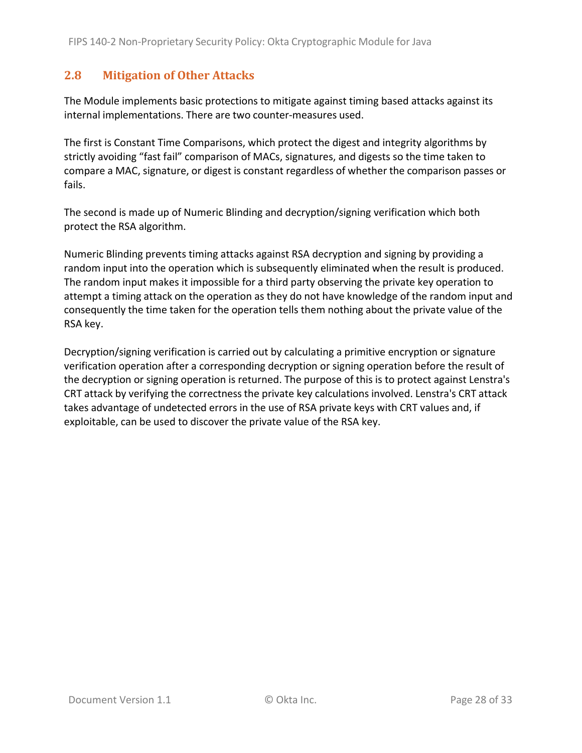## **2.8 Mitigation of Other Attacks**

The Module implements basic protections to mitigate against timing based attacks against its internal implementations. There are two counter‐measures used.

The first is Constant Time Comparisons, which protect the digest and integrity algorithms by strictly avoiding "fast fail" comparison of MACs, signatures, and digests so the time taken to compare a MAC, signature, or digest is constant regardless of whether the comparison passes or fails.

The second is made up of Numeric Blinding and decryption/signing verification which both protect the RSA algorithm.

Numeric Blinding prevents timing attacks against RSA decryption and signing by providing a random input into the operation which is subsequently eliminated when the result is produced. The random input makes it impossible for a third party observing the private key operation to attempt a timing attack on the operation as they do not have knowledge of the random input and consequently the time taken for the operation tells them nothing about the private value of the RSA key.

Decryption/signing verification is carried out by calculating a primitive encryption or signature verification operation after a corresponding decryption or signing operation before the result of the decryption or signing operation is returned. The purpose of this is to protect against Lenstra's CRT attack by verifying the correctness the private key calculations involved. Lenstra's CRT attack takes advantage of undetected errors in the use of RSA private keys with CRT values and, if exploitable, can be used to discover the private value of the RSA key.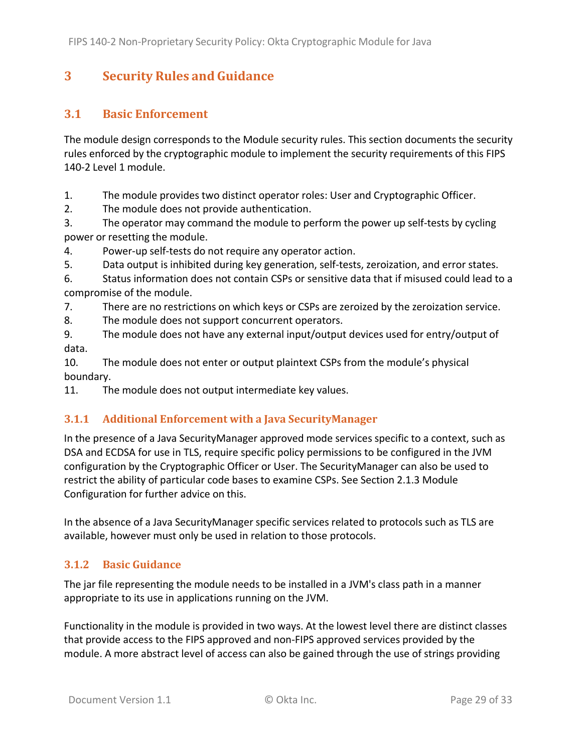# **3 Security Rules and Guidance**

## **3.1 Basic Enforcement**

The module design corresponds to the Module security rules. This section documents the security rules enforced by the cryptographic module to implement the security requirements of this FIPS 140‐2 Level 1 module.

1. The module provides two distinct operator roles: User and Cryptographic Officer.

2. The module does not provide authentication.

3. The operator may command the module to perform the power up self‐tests by cycling power or resetting the module.

4. Power‐up self‐tests do not require any operator action.

5. Data output is inhibited during key generation, self‐tests, zeroization, and error states.

6. Status information does not contain CSPs or sensitive data that if misused could lead to a compromise of the module.

7. There are no restrictions on which keys or CSPs are zeroized by the zeroization service.

8. The module does not support concurrent operators.

9. The module does not have any external input/output devices used for entry/output of data.

10. The module does not enter or output plaintext CSPs from the module's physical boundary.

11. The module does not output intermediate key values.

## **3.1.1 Additional Enforcement with a Java SecurityManager**

In the presence of a Java SecurityManager approved mode services specific to a context, such as DSA and ECDSA for use in TLS, require specific policy permissions to be configured in the JVM configuration by the Cryptographic Officer or User. The SecurityManager can also be used to restrict the ability of particular code bases to examine CSPs. See Section 2.1.3 Module Configuration for further advice on this.

In the absence of a Java SecurityManager specific services related to protocols such as TLS are available, however must only be used in relation to those protocols.

## **3.1.2 Basic Guidance**

The jar file representing the module needs to be installed in a JVM's class path in a manner appropriate to its use in applications running on the JVM.

Functionality in the module is provided in two ways. At the lowest level there are distinct classes that provide access to the FIPS approved and non‐FIPS approved services provided by the module. A more abstract level of access can also be gained through the use of strings providing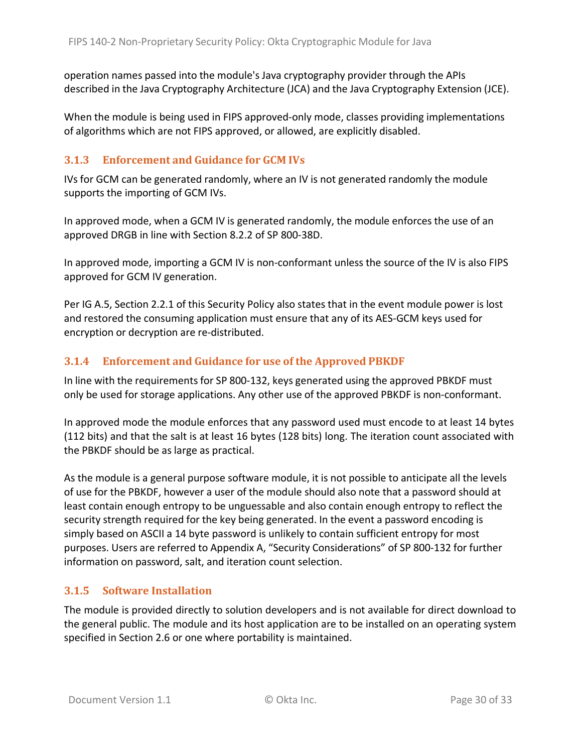operation names passed into the module's Java cryptography provider through the APIs described in the Java Cryptography Architecture (JCA) and the Java Cryptography Extension (JCE).

When the module is being used in FIPS approved-only mode, classes providing implementations of algorithms which are not FIPS approved, or allowed, are explicitly disabled.

#### **3.1.3 Enforcement and Guidance for GCM IVs**

IVs for GCM can be generated randomly, where an IV is not generated randomly the module supports the importing of GCM IVs.

In approved mode, when a GCM IV is generated randomly, the module enforces the use of an approved DRGB in line with Section 8.2.2 of SP 800‐38D.

In approved mode, importing a GCM IV is non-conformant unless the source of the IV is also FIPS approved for GCM IV generation.

Per IG A.5, Section 2.2.1 of this Security Policy also states that in the event module power is lost and restored the consuming application must ensure that any of its AES‐GCM keys used for encryption or decryption are re‐distributed.

#### **3.1.4 Enforcement and Guidance for use of the Approved PBKDF**

In line with the requirements for SP 800‐132, keys generated using the approved PBKDF must only be used for storage applications. Any other use of the approved PBKDF is non‐conformant.

In approved mode the module enforces that any password used must encode to at least 14 bytes (112 bits) and that the salt is at least 16 bytes (128 bits) long. The iteration count associated with the PBKDF should be as large as practical.

As the module is a general purpose software module, it is not possible to anticipate all the levels of use for the PBKDF, however a user of the module should also note that a password should at least contain enough entropy to be unguessable and also contain enough entropy to reflect the security strength required for the key being generated. In the event a password encoding is simply based on ASCII a 14 byte password is unlikely to contain sufficient entropy for most purposes. Users are referred to Appendix A, "Security Considerations" of SP 800‐132 for further information on password, salt, and iteration count selection.

#### **3.1.5 Software Installation**

The module is provided directly to solution developers and is not available for direct download to the general public. The module and its host application are to be installed on an operating system specified in Section 2.6 or one where portability is maintained.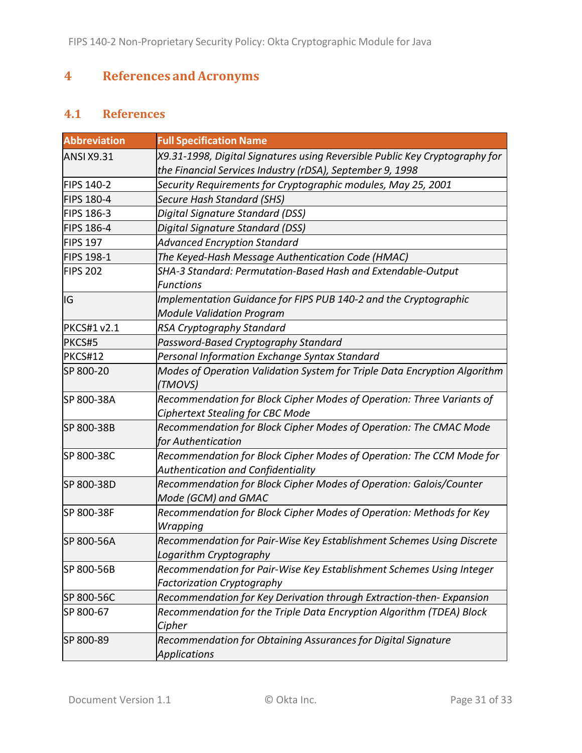# **4 References andAcronyms**

# **4.1 References**

| <b>Abbreviation</b> | <b>Full Specification Name</b>                                                                                                           |
|---------------------|------------------------------------------------------------------------------------------------------------------------------------------|
| <b>ANSI X9.31</b>   | X9.31-1998, Digital Signatures using Reversible Public Key Cryptography for<br>the Financial Services Industry (rDSA), September 9, 1998 |
| <b>FIPS 140-2</b>   | Security Requirements for Cryptographic modules, May 25, 2001                                                                            |
| <b>FIPS 180-4</b>   | <b>Secure Hash Standard (SHS)</b>                                                                                                        |
| FIPS 186-3          | Digital Signature Standard (DSS)                                                                                                         |
| <b>FIPS 186-4</b>   | Digital Signature Standard (DSS)                                                                                                         |
| <b>FIPS 197</b>     | <b>Advanced Encryption Standard</b>                                                                                                      |
| <b>FIPS 198-1</b>   | The Keyed-Hash Message Authentication Code (HMAC)                                                                                        |
| <b>FIPS 202</b>     | SHA-3 Standard: Permutation-Based Hash and Extendable-Output<br><b>Functions</b>                                                         |
| IG                  | Implementation Guidance for FIPS PUB 140-2 and the Cryptographic<br><b>Module Validation Program</b>                                     |
| <b>PKCS#1 v2.1</b>  | RSA Cryptography Standard                                                                                                                |
| PKCS#5              | Password-Based Cryptography Standard                                                                                                     |
| <b>PKCS#12</b>      | Personal Information Exchange Syntax Standard                                                                                            |
| SP 800-20           | Modes of Operation Validation System for Triple Data Encryption Algorithm<br>(TMOVS)                                                     |
| SP 800-38A          | Recommendation for Block Cipher Modes of Operation: Three Variants of<br><b>Ciphertext Stealing for CBC Mode</b>                         |
| SP 800-38B          | Recommendation for Block Cipher Modes of Operation: The CMAC Mode<br>for Authentication                                                  |
| SP 800-38C          | Recommendation for Block Cipher Modes of Operation: The CCM Mode for<br><b>Authentication and Confidentiality</b>                        |
| SP 800-38D          | Recommendation for Block Cipher Modes of Operation: Galois/Counter<br>Mode (GCM) and GMAC                                                |
| SP 800-38F          | Recommendation for Block Cipher Modes of Operation: Methods for Key<br>Wrapping                                                          |
| SP 800-56A          | Recommendation for Pair-Wise Key Establishment Schemes Using Discrete<br>Logarithm Cryptography                                          |
| SP 800-56B          | Recommendation for Pair-Wise Key Establishment Schemes Using Integer<br><b>Factorization Cryptography</b>                                |
| SP 800-56C          | Recommendation for Key Derivation through Extraction-then-Expansion                                                                      |
| SP 800-67           | Recommendation for the Triple Data Encryption Algorithm (TDEA) Block<br>Cipher                                                           |
| SP 800-89           | Recommendation for Obtaining Assurances for Digital Signature<br><b>Applications</b>                                                     |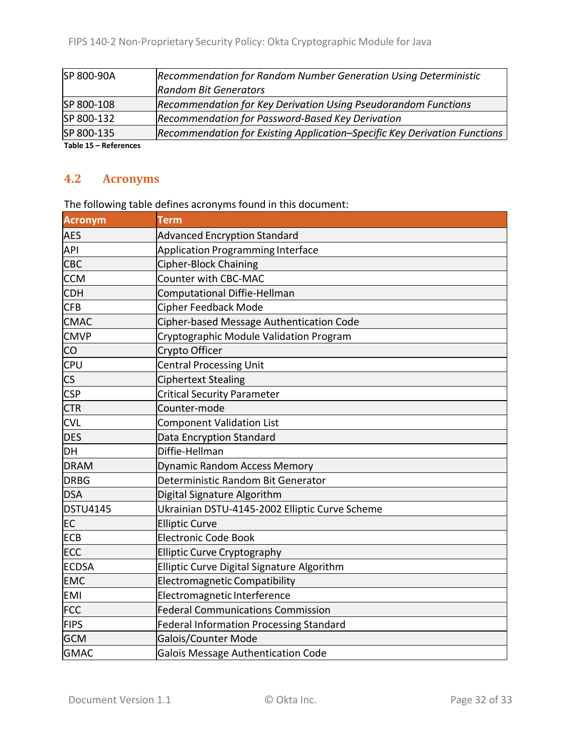| SP 800-90A | Recommendation for Random Number Generation Using Deterministic           |
|------------|---------------------------------------------------------------------------|
|            | <b>Random Bit Generators</b>                                              |
| SP 800-108 | Recommendation for Key Derivation Using Pseudorandom Functions            |
| SP 800-132 | Recommendation for Password-Based Key Derivation                          |
| SP 800-135 | Recommendation for Existing Application-Specific Key Derivation Functions |
| ------     |                                                                           |

**Table 15 – References**

## **4.2 Acronyms**

The following table defines acronyms found in this document:

| <b>Acronym</b>           | <b>Term</b>                                    |
|--------------------------|------------------------------------------------|
| <b>AES</b>               | <b>Advanced Encryption Standard</b>            |
| <b>API</b>               | <b>Application Programming Interface</b>       |
| <b>CBC</b>               | Cipher-Block Chaining                          |
| <b>CCM</b>               | <b>Counter with CBC-MAC</b>                    |
| <b>CDH</b>               | Computational Diffie-Hellman                   |
| <b>CFB</b>               | <b>Cipher Feedback Mode</b>                    |
| <b>CMAC</b>              | Cipher-based Message Authentication Code       |
| <b>CMVP</b>              | Cryptographic Module Validation Program        |
| CO                       | Crypto Officer                                 |
| <b>CPU</b>               | <b>Central Processing Unit</b>                 |
| $\mathsf{CS}\phantom{0}$ | <b>Ciphertext Stealing</b>                     |
| <b>CSP</b>               | <b>Critical Security Parameter</b>             |
| <b>CTR</b>               | Counter-mode                                   |
| <b>CVL</b>               | <b>Component Validation List</b>               |
| <b>DES</b>               | Data Encryption Standard                       |
| DH                       | Diffie-Hellman                                 |
| <b>DRAM</b>              | <b>Dynamic Random Access Memory</b>            |
| <b>DRBG</b>              | Deterministic Random Bit Generator             |
| <b>DSA</b>               | Digital Signature Algorithm                    |
| <b>DSTU4145</b>          | Ukrainian DSTU-4145-2002 Elliptic Curve Scheme |
| <b>EC</b>                | <b>Elliptic Curve</b>                          |
| <b>ECB</b>               | <b>Electronic Code Book</b>                    |
| <b>ECC</b>               | <b>Elliptic Curve Cryptography</b>             |
| <b>ECDSA</b>             | Elliptic Curve Digital Signature Algorithm     |
| <b>EMC</b>               | <b>Electromagnetic Compatibility</b>           |
| <b>EMI</b>               | Electromagnetic Interference                   |
| <b>FCC</b>               | <b>Federal Communications Commission</b>       |
| <b>FIPS</b>              | <b>Federal Information Processing Standard</b> |
| <b>GCM</b>               | Galois/Counter Mode                            |
| <b>GMAC</b>              | Galois Message Authentication Code             |